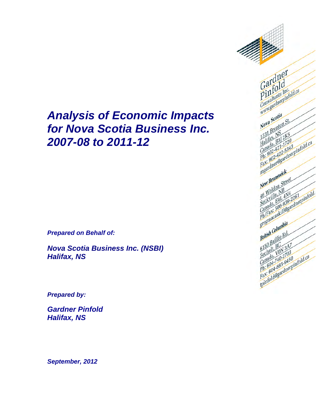# *Analysis of Economic Impacts for Nova Scotia Business Inc. 2007-08 to 2011-12*

*Prepared on Behalf of:*

*Nova Scotia Business Inc. (NSBI) Halifax, NS*

*Prepared by:*

*Gardner Pinfold Halifax, NS*

Gardner<br>Gardner Gardid<br>Pinfold Gal fold<br>Pintants Inc.<br>Consultants Inc.<br>Consultants India Nova Scotia Nova Scotia<br>Nova Scotia<br>1331 Brenton St.<br>131 Bridge Ball 1331 Brews<br>1331 Brews<br>Halida, B31; 1331 BPG<br>1331 BPG<br>131 Balan B31 2720<br>Canada, 221 1720<br>Canada, 221 1720<br>Dh: 902 422 - dne 1332 1831 283<br>Halifax, B3J 282<br>Canada, 421-1720<br>Canada, 421-17343<br>Phi: 902-422-5343 pinfold.ca<br>Fax: 902-422-ardnerpinfold.ca<br>Raxidler@gardnerpinfold.ca<br>Raxidler@gardnerpinfold.ca meardy Brunswick New Brunswine<br>New Brunswine<br>And Weldon NB<br>Cockville, 414, 419 Merveldon VB<br>16 Weldon VB<br>Sackville A4L 4VB<br>Sackville A4L 4VB<br>Canada: 506-939-ardnerpinfold<br>Ph/Fax: 506-939-ardnerpinfold<br>Ph/Fax: 506-939-ardnerpinfold New Veldon<br>46 Weldon NB<br>5 Sackville, 141<br>Sackville, 164<br>Canada, 166-93 British Columbia British Collins Rd.<br>British Baillie Rd.<br>6150 Baillie Rd. 6150 Balling A7<br>Sechelt, VON 3A7<br>Sechelt, VON 3703<br>Canada, 740-27950<br>Ph: 604-885-9450<br>Ph: 604-885-9450 6150 BallyC<br>Sechelt, VON<br>Sechada, VON Sechelt V0N 363<br>Canada, 740-2703<br>Canada, 740-2703<br>Ph: 604-385-9450<br>Fax: 604-385-9461pinfold.ca<br>Fax: 60d@gardnerpinfold.ca

*September, 2012*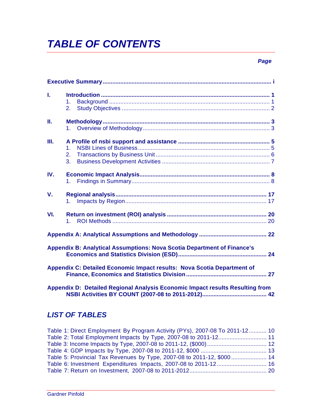# *TABLE OF CONTENTS*

### *Page*

| Ī.  | 1.<br>2.                                                                       |
|-----|--------------------------------------------------------------------------------|
| П.  | 1.                                                                             |
| Ш.  | 1 <sup>1</sup><br>$2_{-}$<br>3.                                                |
| IV. | 1 <sup>1</sup>                                                                 |
| V.  | $1_{-}$                                                                        |
| VI. | 1.                                                                             |
|     |                                                                                |
|     | <b>Appendix B: Analytical Assumptions: Nova Scotia Department of Finance's</b> |
|     | Appendix C: Detailed Economic Impact results: Nova Scotia Department of        |
|     | Appendix D: Detailed Regional Analysis Economic Impact results Resulting from  |

### *LIST OF TABLES*

| Table 1: Direct Employment By Program Activity (PYs), 2007-08 To 2011-12 10 |  |
|-----------------------------------------------------------------------------|--|
|                                                                             |  |
|                                                                             |  |
|                                                                             |  |
| Table 5: Provincial Tax Revenues by Type, 2007-08 to 2011-12, \$000 14      |  |
|                                                                             |  |
|                                                                             |  |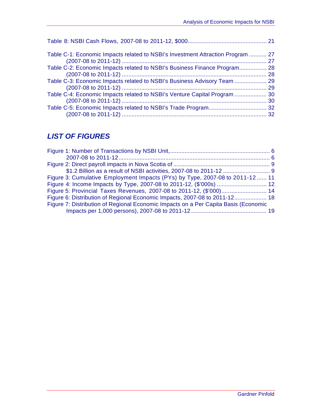| Table C-1: Economic Impacts related to NSBI's Investment Attraction Program  27 |  |
|---------------------------------------------------------------------------------|--|
| Table C-2: Economic Impacts related to NSBI's Business Finance Program 28       |  |
|                                                                                 |  |
| Table C-4: Economic Impacts related to NSBI's Venture Capital Program  30       |  |
|                                                                                 |  |

### *LIST OF FIGURES*

| Figure 3: Cumulative Employment Impacts (PYs) by Type, 2007-08 to 2011-12  11       |  |
|-------------------------------------------------------------------------------------|--|
|                                                                                     |  |
|                                                                                     |  |
| Figure 6: Distribution of Regional Economic Impacts, 2007-08 to 2011-12 18          |  |
| Figure 7: Distribution of Regional Economic Impacts on a Per Capita Basis (Economic |  |
|                                                                                     |  |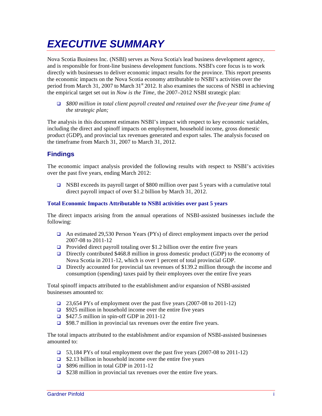# *EXECUTIVE SUMMARY*

Nova Scotia Business Inc. (NSBI) serves as Nova Scotia's lead business development agency, and is responsible for front-line business development functions. NSBI's core focus is to work directly with businesses to deliver economic impact results for the province. This report presents the economic impacts on the Nova Scotia economy attributable to NSBI's activities over the period from March 31, 2007 to March  $31<sup>st</sup>$  2012. It also examines the success of NSBI in achieving the empirical target set out in *Now is the Time*, the 2007–2012 NSBI strategic plan:

 *\$800 million in total client payroll created and retained over the five-year time frame of the strategic plan;*

The analysis in this document estimates NSBI's impact with respect to key economic variables, including the direct and spinoff impacts on employment, household income, gross domestic product (GDP), and provincial tax revenues generated and export sales. The analysis focused on the timeframe from March 31, 2007 to March 31, 2012.

### **Findings**

The economic impact analysis provided the following results with respect to NSBI's activities over the past five years, ending March 2012:

□ NSBI exceeds its payroll target of \$800 million over past 5 years with a cumulative total direct payroll impact of over \$1.2 billion by March 31, 2012.

### **Total Economic Impacts Attributable to NSBI activities over past 5 years**

The direct impacts arising from the annual operations of NSBI-assisted businesses include the following:

- An estimated 29,530 Person Years (PYs) of direct employment impacts over the period 2007-08 to 2011-12
- **Provided direct payroll totaling over \$1.2 billion over the entire five years**
- Directly contributed \$468.8 million in gross domestic product (GDP) to the economy of Nova Scotia in 2011-12, which is over 1 percent of total provincial GDP.
- Directly accounted for provincial tax revenues of \$139.2 million through the income and consumption (spending) taxes paid by their employees over the entire five years

Total spinoff impacts attributed to the establishment and/or expansion of NSBI-assisted businesses amounted to:

- $\Box$  23,654 PYs of employment over the past five years (2007-08 to 2011-12)
- $\Box$  \$925 million in household income over the entire five years
- $\Box$  \$427.5 million in spin-off GDP in 2011-12
- $\Box$  \$98.7 million in provincial tax revenues over the entire five years.

The total impacts attributed to the establishment and/or expansion of NSBI-assisted businesses amounted to:

- 53,184 PYs of total employment over the past five years (2007-08 to 2011-12)
- $\Box$  \$2.13 billion in household income over the entire five years
- $\Box$  \$896 million in total GDP in 2011-12
- $\Box$  \$238 million in provincial tax revenues over the entire five years.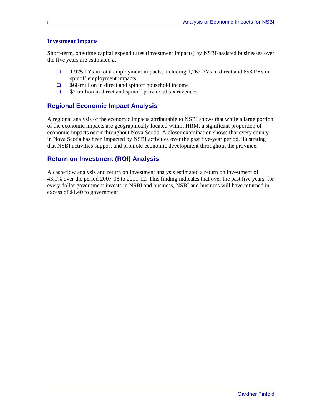### **Investment Impacts**

Short-term, one-time capital expenditures (investment impacts) by NSBI-assisted businesses over the five years are estimated at:

- 1,925 PYs in total employment impacts, including 1,267 PYs in direct and 658 PYs in spinoff employment impacts
- \$66 million in direct and spinoff household income
- $\Box$  \$7 million in direct and spinoff provincial tax revenues

### **Regional Economic Impact Analysis**

A regional analysis of the economic impacts attributable to NSBI shows that while a large portion of the economic impacts are geographically located within HRM, a significant proportion of economic impacts occur throughout Nova Scotia. A closer examination shows that every county in Nova Scotia has been impacted by NSBI activities over the past five-year period, illustrating that NSBI activities support and promote economic development throughout the province.

### **Return on Investment (ROI) Analysis**

A cash-flow analysis and return on investment analysis estimated a return on investment of 43.1% over the period 2007-08 to 2011-12. This finding indicates that over the past five years, for every dollar government invests in NSBI and business, NSBI and business will have returned in excess of \$1.40 to government.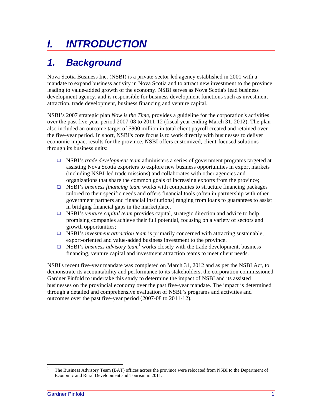# *I. INTRODUCTION*

## *1. Background*

Nova Scotia Business Inc. (NSBI) is a private-sector led agency established in 2001 with a mandate to expand business activity in Nova Scotia and to attract new investment to the province leading to value-added growth of the economy. NSBI serves as Nova Scotia's lead business development agency, and is responsible for business development functions such as investment attraction, trade development, business financing and venture capital.

NSBI's 2007 strategic plan *Now is the Time,* provides a guideline for the corporation's activities over the past five-year period 2007-08 to 2011-12 (fiscal year ending March 31, 2012). The plan also included an outcome target of \$800 million in total client payroll created and retained over the five-year period. In short, NSBI's core focus is to work directly with businesses to deliver economic impact results for the province. NSBI offers customized, client-focused solutions through its business units:

- NSBI's *trade development team* administers a series of government programs targeted at assisting Nova Scotia exporters to explore new business opportunities in export markets (including NSBI-led trade missions) and collaborates with other agencies and organizations that share the common goals of increasing exports from the province;
- NSBI's *business financing team* works with companies to structure financing packages tailored to their specific needs and offers financial tools (often in partnership with other government partners and financial institutions) ranging from loans to guarantees to assist in bridging financial gaps in the marketplace.
- NSBI's *venture capital team* provides capital, strategic direction and advice to help promising companies achieve their full potential, focusing on a variety of sectors and growth opportunities;
- NSBI's *investment attraction team* is primarily concerned with attracting sustainable, export-oriented and value-added business investment to the province.
- $\Box$  NSBI's *business advisory team*<sup>1</sup> works closely with the trade development, business financing, venture capital and investment attraction teams to meet client needs.

NSBI's recent five-year mandate was completed on March 31, 2012 and as per the NSBI Act, to demonstrate its accountability and performance to its stakeholders, the corporation commissioned Gardner Pinfold to undertake this study to determine the impact of NSBI and its assisted businesses on the provincial economy over the past five-year mandate. The impact is determined through a detailed and comprehensive evaluation of NSBI 's programs and activities and outcomes over the past five-year period (2007-08 to 2011-12).

!!!!!!!!!!!!!!!!!!!!!!!!!!!!!!!!!!!!!!!!!!!!!!!!!!!!!!!!!!!!

<sup>1</sup> The Business Advisory Team (BAT) offices across the province were relocated from NSBI to the Department of Economic and Rural Development and Tourism in 2011.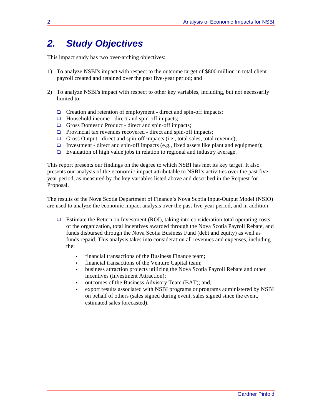### *2. Study Objectives*

This impact study has two over-arching objectives:

- 1) To analyze NSBI's impact with respect to the outcome target of \$800 million in total client payroll created and retained over the past five-year period; and
- 2) To analyze NSBI's impact with respect to other key variables, including, but not necessarily limited to:
	- $\Box$  Creation and retention of employment direct and spin-off impacts;
	- $\Box$  Household income direct and spin-off impacts;
	- Gross Domestic Product direct and spin-off impacts;
	- $\Box$  Provincial tax revenues recovered direct and spin-off impacts;
	- Gross Output direct and spin-off impacts (i.e., total sales, total revenue);
	- Investment direct and spin-off impacts (e.g., fixed assets like plant and equipment);
	- $\Box$  Evaluation of high value jobs in relation to regional and industry average.

This report presents our findings on the degree to which NSBI has met its key target. It also presents our analysis of the economic impact attributable to NSBI's activities over the past fiveyear period, as measured by the key variables listed above and described in the Request for Proposal.

The results of the Nova Scotia Department of Finance's Nova Scotia Input-Output Model (NSIO) are used to analyze the economic impact analysis over the past five-year period, and in addition:

- Estimate the Return on Investment (ROI), taking into consideration total operating costs of the organization, total incentives awarded through the Nova Scotia Payroll Rebate, and funds disbursed through the Nova Scotia Business Fund (debt and equity) as well as funds repaid. This analysis takes into consideration all revenues and expenses, including the:
	- financial transactions of the Business Finance team;
	- financial transactions of the Venture Capital team;
	- business attraction projects utilizing the Nova Scotia Payroll Rebate and other incentives (Investment Attraction);
	- outcomes of the Business Advisory Team (BAT); and,
	- export results associated with NSBI programs or programs administered by NSBI on behalf of others (sales signed during event, sales signed since the event, estimated sales forecasted).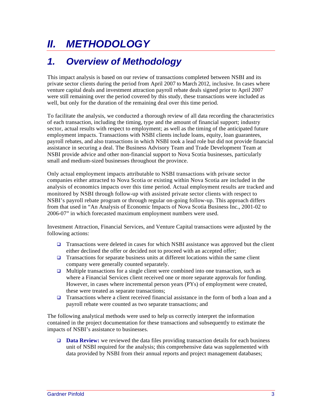# *II. METHODOLOGY*

### *1. Overview of Methodology*

This impact analysis is based on our review of transactions completed between NSBI and its private sector clients during the period from April 2007 to March 2012, inclusive. In cases where venture capital deals and investment attraction payroll rebate deals signed prior to April 2007 were still remaining over the period covered by this study, these transactions were included as well, but only for the duration of the remaining deal over this time period.

To facilitate the analysis, we conducted a thorough review of all data recording the characteristics of each transaction, including the timing, type and the amount of financial support; industry sector, actual results with respect to employment; as well as the timing of the anticipated future employment impacts. Transactions with NSBI clients include loans, equity, loan guarantees, payroll rebates, and also transactions in which NSBI took a lead role but did not provide financial assistance in securing a deal. The Business Advisory Team and Trade Development Team at NSBI provide advice and other non-financial support to Nova Scotia businesses, particularly small and medium-sized businesses throughout the province.

Only actual employment impacts attributable to NSBI transactions with private sector companies either attracted to Nova Scotia or existing within Nova Scotia are included in the analysis of economics impacts over this time period. Actual employment results are tracked and monitored by NSBI through follow-up with assisted private sector clients with respect to NSBI's payroll rebate program or through regular on-going follow-up. This approach differs from that used in "An Analysis of Economic Impacts of Nova Scotia Business Inc., 2001-02 to 2006-07" in which forecasted maximum employment numbers were used.

Investment Attraction, Financial Services, and Venture Capital transactions were adjusted by the following actions:

- **Transactions were deleted in cases for which NSBI assistance was approved but the client** either declined the offer or decided not to proceed with an accepted offer;
- **Transactions for separate business units at different locations within the same client** company were generally counted separately.
- $\Box$  Multiple transactions for a single client were combined into one transaction, such as where a Financial Services client received one or more separate approvals for funding. However, in cases where incremental person years (PYs) of employment were created, these were treated as separate transactions;
- **Transactions where a client received financial assistance in the form of both a loan and a** payroll rebate were counted as two separate transactions; and

The following analytical methods were used to help us correctly interpret the information contained in the project documentation for these transactions and subsequently to estimate the impacts of NSBI's assistance to businesses.

 **Data Review:** we reviewed the data files providing transaction details for each business unit of NSBI required for the analysis; this comprehensive data was supplemented with data provided by NSBI from their annual reports and project management databases;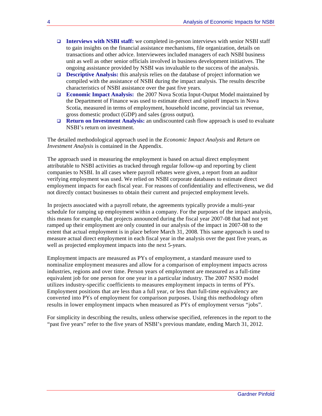- **Interviews with NSBI staff:** we completed in-person interviews with senior NSBI staff to gain insights on the financial assistance mechanisms, file organization, details on transactions and other advice. Interviewees included managers of each NSBI business unit as well as other senior officials involved in business development initiatives. The ongoing assistance provided by NSBI was invaluable to the success of the analysis.
- **Descriptive Analysis:** this analysis relies on the database of project information we compiled with the assistance of NSBI during the impact analysis. The results describe characteristics of NSBI assistance over the past five years.
- **Economic Impact Analysis:** the 2007 Nova Scotia Input-Output Model maintained by the Department of Finance was used to estimate direct and spinoff impacts in Nova Scotia, measured in terms of employment, household income, provincial tax revenue, gross domestic product (GDP) and sales (gross output).
- **Return on Investment Analysis:** an undiscounted cash flow approach is used to evaluate NSBI's return on investment.

The detailed methodological approach used in the *Economic Impact Analysis* and *Return on Investment Analysis* is contained in the Appendix.

The approach used in measuring the employment is based on actual direct employment attributable to NSBI activities as tracked through regular follow-up and reporting by client companies to NSBI. In all cases where payroll rebates were given, a report from an auditor verifying employment was used. We relied on NSBI corporate databases to estimate direct employment impacts for each fiscal year. For reasons of confidentiality and effectiveness, we did not directly contact businesses to obtain their current and projected employment levels.

In projects associated with a payroll rebate, the agreements typically provide a multi-year schedule for ramping up employment within a company. For the purposes of the impact analysis, this means for example, that projects announced during the fiscal year 2007-08 that had not yet ramped up their employment are only counted in our analysis of the impact in 2007-08 to the extent that actual employment is in place before March 31, 2008. This same approach is used to measure actual direct employment in each fiscal year in the analysis over the past five years, as well as projected employment impacts into the next 5-years.

Employment impacts are measured as PYs of employment, a standard measure used to nominalize employment measures and allow for a comparison of employment impacts across industries, regions and over time. Person years of employment are measured as a full-time equivalent job for one person for one year in a particular industry. The 2007 NSIO model utilizes industry-specific coefficients to measures employment impacts in terms of PYs. Employment positions that are less than a full year, or less than full-time equivalency are converted into PYs of employment for comparison purposes. Using this methodology often results in lower employment impacts when measured as PYs of employment versus "jobs".

For simplicity in describing the results, unless otherwise specified, references in the report to the "past five years" refer to the five years of NSBI's previous mandate, ending March 31, 2012.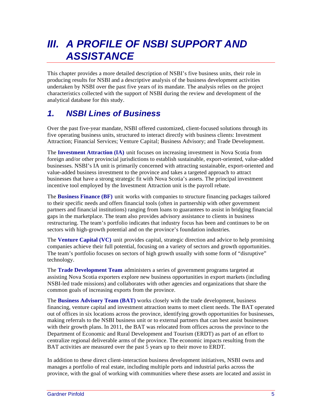# *III. A PROFILE OF NSBI SUPPORT AND ASSISTANCE*

This chapter provides a more detailed description of NSBI's five business units, their role in producing results for NSBI and a descriptive analysis of the business development activities undertaken by NSBI over the past five years of its mandate. The analysis relies on the project characteristics collected with the support of NSBI during the review and development of the analytical database for this study.

### *1. NSBI Lines of Business*

Over the past five-year mandate, NSBI offered customized, client-focused solutions through its five operating business units, structured to interact directly with business clients: Investment Attraction; Financial Services; Venture Capital; Business Advisory; and Trade Development.

The **Investment Attraction (IA)**unit focuses on increasing investment in Nova Scotia from foreign and/or other provincial jurisdictions to establish sustainable, export-oriented, value-added businesses. NSBI's IA unit is primarily concerned with attracting sustainable, export-oriented and value-added business investment to the province and takes a targeted approach to attract businesses that have a strong strategic fit with Nova Scotia's assets. The principal investment incentive tool employed by the Investment Attraction unit is the payroll rebate.

The **Business Finance (BF)**unitworks with companies to structure financing packages tailored to their specific needs and offers financial tools (often in partnership with other government partners and financial institutions) ranging from loans to guarantees to assist in bridging financial gaps in the marketplace. The team also provides advisory assistance to clients in business restructuring. The team's portfolio indicates that industry focus has been and continues to be on sectors with high-growth potential and on the province's foundation industries.

The **Venture Capital (VC)**unitprovides capital, strategic direction and advice to help promising companies achieve their full potential, focusing on a variety of sectors and growth opportunities. The team's portfolio focuses on sectors of high growth usually with some form of "disruptive" technology.

The **Trade Development Team**administers a series of government programs targeted at assisting Nova Scotia exporters explore new business opportunities in export markets (including NSBI-led trade missions) and collaborates with other agencies and organizations that share the common goals of increasing exports from the province.

The **Business Advisory Team (BAT)** works closely with the trade development, business financing, venture capital and investment attraction teams to meet client needs. The BAT operated out of offices in six locations across the province, identifying growth opportunities for businesses, making referrals to the NSBI business unit or to external partners that can best assist businesses with their growth plans. In 2011, the BAT was relocated from offices across the province to the Department of Economic and Rural Development and Tourism (ERDT) as part of an effort to centralize regional deliverable arms of the province. The economic impacts resulting from the BAT activities are measured over the past 5 years up to their move to ERDT.

In addition to these direct client-interaction business development initiatives, NSBI owns and manages a portfolio of real estate, including multiple ports and industrial parks across the province, with the goal of working with communities where these assets are located and assist in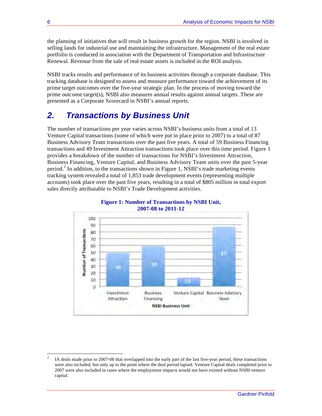the planning of initiatives that will result in business growth for the region. NSBI is involved in selling lands for industrial use and maintaining the infrastructure. Management of the real estate portfolio is conducted in association with the Department of Transportation and Infrastructure Renewal. Revenue from the sale of real estate assets is included in the ROI analysis.

NSBI tracks results and performance of its business activities through a corporate database. This tracking database is designed to assess and measure performance toward the achievement of its prime target outcomes over the five-year strategic plan. In the process of moving toward the prime outcome target(s), NSBI also measures annual results against annual targets. These are presented as a Corporate Scorecard in NSBI's annual reports.

### *2. Transactions by Business Unit*

The number of transactions per year varies across NSBI's business units from a total of 13 Venture Capital transactions (some of which were put in place prior to 2007) to a total of 87 Business Advisory Team transactions over the past five years. A total of 59 Business Financing transactions and 49 Investment Attraction transactions took place over this time period. Figure 1 provides a breakdown of the number of transactions for NSBI's Investment Attraction, Business Financing, Venture Capital, and Business Advisory Team units over the past 5-year period.<sup>2</sup> In addition, to the transactions shown in Figure 1, NSBI's trade marketing events tracking system revealed a total of 1,853 trade development events (representing multiple accounts) took place over the past five years, resulting in a total of \$805 million in total export sales directly attributable to NSBI's Trade Development activities.





!!!!!!!!!!!!!!!!!!!!!!!!!!!!!!!!!!!!!!!!!!!!!!!!!!!!!!!!!!!!

<sup>2</sup> IA deals made prior to 2007-08 that overlapped into the early part of the last five-year period, these transactions were also included, but only up to the point where the deal period lapsed. Venture Capital deals completed prior to 2007 were also included in cases where the employment impacts would not have existed without NSBI venture capital.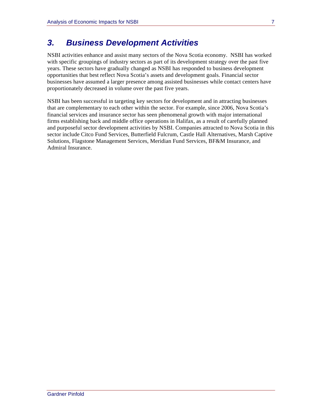### *3. Business Development Activities*

NSBI activities enhance and assist many sectors of the Nova Scotia economy. NSBI has worked with specific groupings of industry sectors as part of its development strategy over the past five years. These sectors have gradually changed as NSBI has responded to business development opportunities that best reflect Nova Scotia's assets and development goals. Financial sector businesses have assumed a larger presence among assisted businesses while contact centers have proportionately decreased in volume over the past five years.

NSBI has been successful in targeting key sectors for development and in attracting businesses that are complementary to each other within the sector. For example, since 2006, Nova Scotia's financial services and insurance sector has seen phenomenal growth with major international firms establishing back and middle office operations in Halifax, as a result of carefully planned and purposeful sector development activities by NSBI. Companies attracted to Nova Scotia in this sector include Citco Fund Services, Butterfield Fulcrum, Castle Hall Alternatives, Marsh Captive Solutions, Flagstone Management Services, Meridian Fund Services, BF&M Insurance, and Admiral Insurance.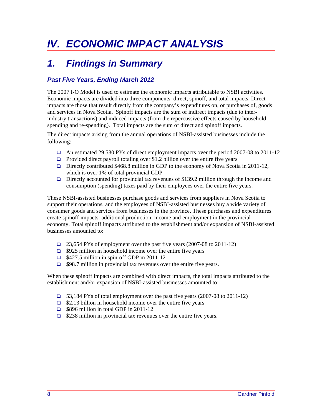# *IV. ECONOMIC IMPACT ANALYSIS*

### *1. Findings in Summary*

### *Past Five Years, Ending March 2012*

The 2007 I-O Model is used to estimate the economic impacts attributable to NSBI activities. Economic impacts are divided into three components: direct, spinoff, and total impacts. Direct impacts are those that result directly from the company's expenditures on, or purchases of, goods and services in Nova Scotia. Spinoff impacts are the sum of indirect impacts (due to interindustry transactions) and induced impacts (from the repercussive effects caused by household spending and re-spending). Total impacts are the sum of direct and spinoff impacts.

The direct impacts arising from the annual operations of NSBI-assisted businesses include the following:

- An estimated 29,530 PYs of direct employment impacts over the period 2007-08 to 2011-12
- **Provided direct payroll totaling over \$1.2 billion over the entire five years**
- Directly contributed \$468.8 million in GDP to the economy of Nova Scotia in 2011-12, which is over 1% of total provincial GDP
- Directly accounted for provincial tax revenues of \$139.2 million through the income and consumption (spending) taxes paid by their employees over the entire five years.

These NSBI-assisted businesses purchase goods and services from suppliers in Nova Scotia to support their operations, and the employees of NSBI-assisted businesses buy a wide variety of consumer goods and services from businesses in the province. These purchases and expenditures create spinoff impacts: additional production, income and employment in the provincial economy. Total spinoff impacts attributed to the establishment and/or expansion of NSBI-assisted businesses amounted to:

- 23,654 PYs of employment over the past five years (2007-08 to 2011-12)
- $\Box$  \$925 million in household income over the entire five years
- $\Box$  \$427.5 million in spin-off GDP in 2011-12
- $\Box$  \$98.7 million in provincial tax revenues over the entire five years.

When these spinoff impacts are combined with direct impacts, the total impacts attributed to the establishment and/or expansion of NSBI-assisted businesses amounted to:

- 53,184 PYs of total employment over the past five years (2007-08 to 2011-12)
- $\Box$  \$2.13 billion in household income over the entire five years
- $\Box$  \$896 million in total GDP in 2011-12
- $\Box$  \$238 million in provincial tax revenues over the entire five years.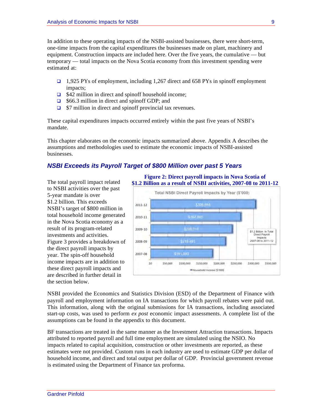In addition to these operating impacts of the NSBI-assisted businesses, there were short-term, one-time impacts from the capital expenditures the businesses made on plant, machinery and equipment. Construction impacts are included here. Over the five years, the cumulative — but temporary — total impacts on the Nova Scotia economy from this investment spending were estimated at:

- 1,925 PYs of employment, including 1,267 direct and 658 PYs in spinoff employment impacts;
- $\Box$  \$42 million in direct and spinoff household income;
- □ \$66.3 million in direct and spinoff GDP; and
- $\Box$  \$7 million in direct and spinoff provincial tax revenues.

These capital expenditures impacts occurred entirely within the past five years of NSBI's mandate.

This chapter elaborates on the economic impacts summarized above. Appendix A describes the assumptions and methodologies used to estimate the economic impacts of NSBI-assisted businesses.

### *NSBI Exceeds its Payroll Target of \$800 Million over past 5 Years*

The total payroll impact related to NSBI activities over the past 5-year mandate is over \$1.2 billion. This exceeds NSBI's target of \$800 million in total household income generated in the Nova Scotia economy as a result of its program-related investments and activities. Figure 3 provides a breakdown of the direct payroll impacts by year. The spin-off household income impacts are in addition to these direct payroll impacts and are described in further detail in the section below.

**Figure 2: Direct payroll impacts in Nova Scotia of \$1.2 Billion as a result of NSBI activities, 2007-08 to 2011-12**



NSBI provided the Economics and Statistics Division (ESD) of the Department of Finance with payroll and employment information on IA transactions for which payroll rebates were paid out. This information, along with the original submissions for IA transactions, including associated start-up costs, was used to perform *ex post* economic impact assessments. A complete list of the assumptions can be found in the appendix to this document.

BF transactions are treated in the same manner as the Investment Attraction transactions. Impacts attributed to reported payroll and full time employment are simulated using the NSIO. No impacts related to capital acquisition, construction or other investments are reported, as these estimates were not provided. Custom runs in each industry are used to estimate GDP per dollar of household income, and direct and total output per dollar of GDP. Provincial government revenue is estimated using the Department of Finance tax proforma.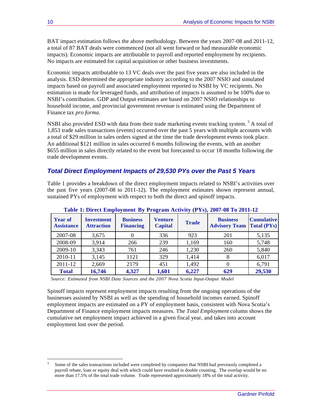BAT impact estimation follows the above methodology. Between the years 2007-08 and 2011-12, a total of 87 BAT deals were commenced (not all went forward or had measurable economic impacts). Economic impacts are attributable to payroll and reported employment by recipients. No impacts are estimated for capital acquisition or other business investments.

Economic impacts attributable to 13 VC deals over the past five years are also included in the analysis. ESD determined the appropriate industry according to the 2007 NSIO and simulated impacts based on payroll and associated employment reported to NSBI by VC recipients. No estimation is made for leveraged funds, and attribution of impacts is assumed to be 100% due to NSBI's contribution. GDP and Output estimates are based on 2007 NSIO relationships to household income, and provincial government revenue is estimated using the Department of Finance tax *pro forma*.

NSBI also provided ESD with data from their trade marketing events tracking system.<sup>3</sup> A total of 1,853 trade sales transactions (events) occurred over the past 5 years with multiple accounts with a total of \$29 million in sales orders signed at the time the trade development events took place. An additional \$121 million in sales occurred 6 months following the events, with an another \$655 million in sales directly related to the event but forecasted to occur 18 months following the trade development events.

### *Total Direct Employment Impacts of 29,530 PYs over the Past 5 Years*

Table 1 provides a breakdown of the direct employment impacts related to NSBI's activities over the past five years (2007-08 to 2011-12). The employment estimates shown represent annual, sustained PYs of employment with respect to both the direct and spinoff impacts.

| <b>Year of</b><br><b>Assistance</b> | <b>Investment</b><br><b>Attraction</b> | <b>Business</b><br><b>Financing</b> | <b>Venture</b><br><b>Capital</b> | <b>Trade</b> | <b>Business</b><br><b>Advisory Team   Total (PYs)</b> | <b>Cumulative</b> |
|-------------------------------------|----------------------------------------|-------------------------------------|----------------------------------|--------------|-------------------------------------------------------|-------------------|
| 2007-08                             | 3,675                                  |                                     | 336                              | 923          | 201                                                   | 5,135             |
| 2008-09                             | 3,914                                  | 266                                 | 239                              | 1,169        | 160                                                   | 5,748             |
| 2009-10                             | 3,343                                  | 761                                 | 246                              | 1,230        | 260                                                   | 5,840             |
| 2010-11                             | 3,145                                  | 1121                                | 329                              | 1,414        | 8                                                     | 6,017             |
| 2011-12                             | 2,669                                  | 2179                                | 451                              | 1,492        | 0                                                     | 6,791             |
| <b>Total</b>                        | 16,746                                 | 4,327                               | 1,601                            | 6,227        | 629                                                   | 29,530            |

**Table 1: Direct Employment By Program Activity (PYs), 2007-08 To 2011-12**

*Source: Estimated from NSBI Data Sources and the 2007 Nova Scotia Input-Output Model*

!!!!!!!!!!!!!!!!!!!!!!!!!!!!!!!!!!!!!!!!!!!!!!!!!!!!!!!!!!!!

Spinoff impacts represent employment impacts resulting from the ongoing operations of the businesses assisted by NSBI as well as the spending of household incomes earned. Spinoff employment impacts are estimated on a PY of employment basis, consistent with Nova Scotia's Department of Finance employment impacts measures. The *Total Employment* column shows the cumulative net employment impact achieved in a given fiscal year, and takes into account employment lost over the period.

Some of the sales transactions included were completed by companies that NSBI had previously completed a payroll rebate, loan or equity deal with which could have resulted in double counting. The overlap would be no more than 17.5% of the total trade volume. Trade represented approximately 18% of the total activity.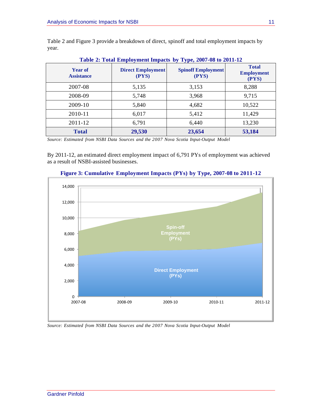| <b>Year of</b><br><b>Assistance</b> | <b>Direct Employment</b><br>(PYS) | <b>Spinoff Employment</b><br>(PYS) | <b>Total</b><br><b>Employment</b><br>(PYS) |
|-------------------------------------|-----------------------------------|------------------------------------|--------------------------------------------|
| 2007-08                             | 5,135                             | 3,153                              | 8,288                                      |
| 2008-09                             | 5,748                             | 3,968                              | 9,715                                      |
| 2009-10                             | 5,840                             | 4,682                              | 10,522                                     |
| 2010-11                             | 6,017                             | 5,412                              | 11,429                                     |
| 2011-12                             | 6,791                             | 6,440                              | 13,230                                     |
| <b>Total</b>                        | 29,530                            | 23,654                             | 53,184                                     |

Table 2 and Figure 3 provide a breakdown of direct, spinoff and total employment impacts by year.

**Table 2: Total Employment Impacts by Type, 2007-08 to 2011-12**

*Source: Estimated from NSBI Data Sources and the 2007 Nova Scotia Input-Output Model*

By 2011-12, an estimated direct employment impact of 6,791 PYs of employment was achieved as a result of NSBI-assisted businesses.



### **Figure 3: Cumulative Employment Impacts (PYs) by Type, 2007-08 to 2011-12**

*Source: Estimated from NSBI Data Sources and the 2007 Nova Scotia Input-Output Model*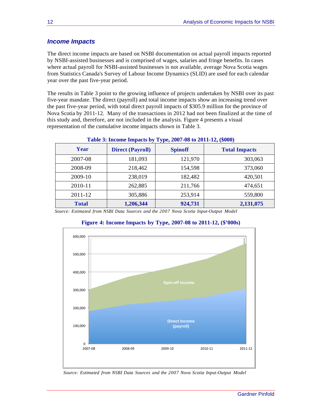### *Income Impacts*

The direct income impacts are based on NSBI documentation on actual payroll impacts reported by NSBI-assisted businesses and is comprised of wages, salaries and fringe benefits. In cases where actual payroll for NSBI-assisted businesses is not available, average Nova Scotia wages from Statistics Canada's Survey of Labour Income Dynamics (SLID) are used for each calendar year over the past five-year period.

The results in Table 3 point to the growing influence of projects undertaken by NSBI over its past five-year mandate. The direct (payroll) and total income impacts show an increasing trend over the past five-year period, with total direct payroll impacts of \$305.9 million for the province of Nova Scotia by 2011-12. Many of the transactions in 2012 had not been finalized at the time of this study and, therefore, are not included in the analysis. Figure 4 presents a visual representation of the cumulative income impacts shown in Table 3.

| Table 3: Income Impacts by Type, 2007-08 to 2011-12, (\$000) |                         |                |                      |  |  |
|--------------------------------------------------------------|-------------------------|----------------|----------------------|--|--|
| Year                                                         | <b>Direct (Payroll)</b> | <b>Spinoff</b> | <b>Total Impacts</b> |  |  |
| 2007-08                                                      | 181,093                 | 121,970        | 303,063              |  |  |
| 2008-09                                                      | 218,462                 | 154,598        | 373,060              |  |  |
| 2009-10                                                      | 238,019                 | 182,482        | 420,501              |  |  |
| 2010-11                                                      | 262,885                 | 211,766        | 474,651              |  |  |
| 2011-12                                                      | 305,886                 | 253,914        | 559,800              |  |  |
| <b>Total</b>                                                 | 1,206,344               | 924,731        | 2,131,075            |  |  |

### **Table 3: Income Impacts by Type, 2007-08 to 2011-12, (\$000)**

*Source: Estimated from NSBI Data Sources and the 2007 Nova Scotia Input-Output Model*



### **Figure 4: Income Impacts by Type, 2007-08 to 2011-12, (\$'000s)**

*Source: Estimated from NSBI Data Sources and the 2007 Nova Scotia Input-Output Model*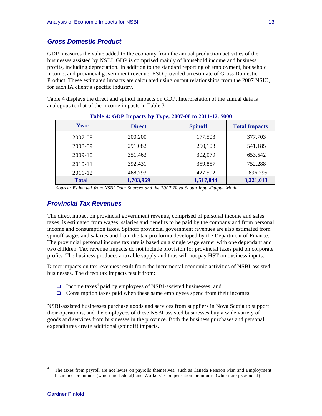### *Gross Domestic Product*

GDP measures the value added to the economy from the annual production activities of the businesses assisted by NSBI. GDP is comprised mainly of household income and business profits, including depreciation. In addition to the standard reporting of employment, household income, and provincial government revenue, ESD provided an estimate of Gross Domestic Product. These estimated impacts are calculated using output relationships from the 2007 NSIO, for each IA client's specific industry.

Table 4 displays the direct and spinoff impacts on GDP. Interpretation of the annual data is analogous to that of the income impacts in Table 3.

| $  \frac{1}{2}$ $ \frac{1}{2}$ $ \frac{1}{2}$ $ \frac{1}{2}$ $ \frac{1}{2}$ $ \frac{1}{2}$ $ \frac{1}{2}$ $ \frac{1}{2}$ $ \frac{1}{2}$ $ \frac{1}{2}$ $ \frac{1}{2}$ $ \frac{1}{2}$ $ \frac{1}{2}$ $ \frac{1}{2}$ $ \frac{1}{2}$ $ \frac$ |               |                |                      |  |  |  |
|--------------------------------------------------------------------------------------------------------------------------------------------------------------------------------------------------------------------------------------------|---------------|----------------|----------------------|--|--|--|
| Year                                                                                                                                                                                                                                       | <b>Direct</b> | <b>Spinoff</b> | <b>Total Impacts</b> |  |  |  |
| 2007-08                                                                                                                                                                                                                                    | 200,200       | 177,503        | 377,703              |  |  |  |
| 2008-09                                                                                                                                                                                                                                    | 291,082       | 250,103        | 541,185              |  |  |  |
| 2009-10                                                                                                                                                                                                                                    | 351,463       | 302,079        | 653,542              |  |  |  |
| 2010-11                                                                                                                                                                                                                                    | 392,431       | 359,857        | 752,288              |  |  |  |
| 2011-12                                                                                                                                                                                                                                    | 468,793       | 427,502        | 896,295              |  |  |  |
| <b>Total</b>                                                                                                                                                                                                                               | 1,703,969     | 1,517,044      | 3,221,013            |  |  |  |

**Table 4: GDP Impacts by Type, 2007-08 to 2011-12, \$000**

*Source: Estimated from NSBI Data Sources and the 2007 Nova Scotia Input-Output Model*

### *Provincial Tax Revenues*

The direct impact on provincial government revenue, comprised of personal income and sales taxes, is estimated from wages, salaries and benefits to be paid by the company and from personal income and consumption taxes. Spinoff provincial government revenues are also estimated from spinoff wages and salaries and from the tax pro forma developed by the Department of Finance. The provincial personal income tax rate is based on a single wage earner with one dependant and two children. Tax revenue impacts do not include provision for provincial taxes paid on corporate profits. The business produces a taxable supply and thus will not pay HST on business inputs.

Direct impacts on tax revenues result from the incremental economic activities of NSBI-assisted businesses. The direct tax impacts result from:

- $\Box$  Income taxes<sup>4</sup> paid by employees of NSBI-assisted businesses; and
- $\Box$  Consumption taxes paid when these same employees spend from their incomes.

NSBI-assisted businesses purchase goods and services from suppliers in Nova Scotia to support their operations, and the employees of these NSBI-assisted businesses buy a wide variety of goods and services from businesses in the province. Both the business purchases and personal expenditures create additional (spinoff) impacts.

!!!!!!!!!!!!!!!!!!!!!!!!!!!!!!!!!!!!!!!!!!!!!!!!!!!!!!!!!!!!

The taxes from payroll are not levies on payrolls themselves, such as Canada Pension Plan and Employment Insurance premiums (which are federal) and Workers' Compensation premiums (which are provincial).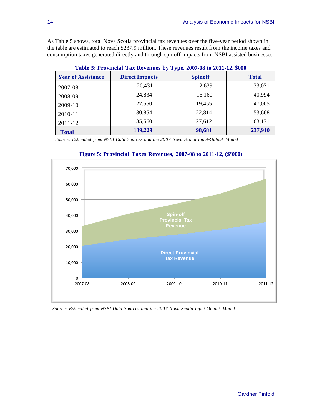As Table 5 shows, total Nova Scotia provincial tax revenues over the five-year period shown in the table are estimated to reach \$237.9 million. These revenues result from the income taxes and consumption taxes generated directly and through spinoff impacts from NSBI assisted businesses.

| $\sim$ 0.010 $\sim$ 0.110 $\sim$ 0.010 $\sim$ 0.010 $\sim$ 0.010 $\sim$ 0.010 $\sim$ 0.010 $\sim$ 0.010 $\sim$ 0.010 $\sim$ 0.010 $\sim$ |                       |                |              |  |  |
|------------------------------------------------------------------------------------------------------------------------------------------|-----------------------|----------------|--------------|--|--|
| <b>Year of Assistance</b>                                                                                                                | <b>Direct Impacts</b> | <b>Spinoff</b> | <b>Total</b> |  |  |
| 2007-08                                                                                                                                  | 20,431                | 12,639         | 33,071       |  |  |
| 2008-09                                                                                                                                  | 24,834                | 16,160         | 40,994       |  |  |
| 2009-10                                                                                                                                  | 27,550                | 19,455         | 47,005       |  |  |
| 2010-11                                                                                                                                  | 30,854                | 22,814         | 53,668       |  |  |
| 2011-12                                                                                                                                  | 35,560                | 27,612         | 63,171       |  |  |
| <b>Total</b>                                                                                                                             | 139,229               | 98,681         | 237,910      |  |  |

**Table 5: Provincial Tax Revenues by Type, 2007-08 to 2011-12, \$000**

*Source: Estimated from NSBI Data Sources and the 2007 Nova Scotia Input-Output Model*



### **Figure 5: Provincial Taxes Revenues, 2007-08 to 2011-12, (\$'000)**

*Source: Estimated from NSBI Data Sources and the 2007 Nova Scotia Input-Output Model*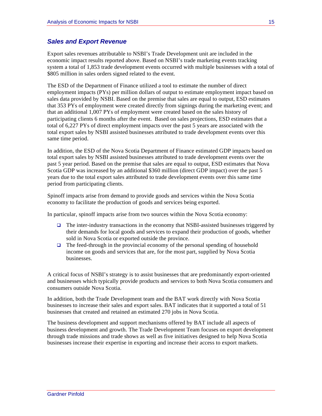### *Sales and Export Revenue*

Export sales revenues attributable to NSBI's Trade Development unit are included in the economic impact results reported above. Based on NSBI's trade marketing events tracking system a total of 1,853 trade development events occurred with multiple businesses with a total of \$805 million in sales orders signed related to the event.

The ESD of the Department of Finance utilized a tool to estimate the number of direct employment impacts (PYs) per million dollars of output to estimate employment impact based on sales data provided by NSBI. Based on the premise that sales are equal to output, ESD estimates that 353 PYs of employment were created directly from signings during the marketing event; and that an additional 1,007 PYs of employment were created based on the sales history of participating clients 6 months after the event. Based on sales projections, ESD estimates that a total of 6,227 PYs of direct employment impacts over the past 5 years are associated with the total export sales by NSBI assisted businesses attributed to trade development events over this same time period.

In addition, the ESD of the Nova Scotia Department of Finance estimated GDP impacts based on total export sales by NSBI assisted businesses attributed to trade development events over the past 5 year period. Based on the premise that sales are equal to output, ESD estimates that Nova Scotia GDP was increased by an additional \$360 million (direct GDP impact) over the past 5 years due to the total export sales attributed to trade development events over this same time period from participating clients.

Spinoff impacts arise from demand to provide goods and services within the Nova Scotia economy to facilitate the production of goods and services being exported.

In particular, spinoff impacts arise from two sources within the Nova Scotia economy:

- $\Box$  The inter-industry transactions in the economy that NSBI-assisted businesses triggered by their demands for local goods and services to expand their production of goods, whether sold in Nova Scotia or exported outside the province.
- $\Box$  The feed-through in the provincial economy of the personal spending of household income on goods and services that are, for the most part, supplied by Nova Scotia businesses.

A critical focus of NSBI's strategy is to assist businesses that are predominantly export-oriented and businesses which typically provide products and services to both Nova Scotia consumers and consumers outside Nova Scotia.

In addition, both the Trade Development team and the BAT work directly with Nova Scotia businesses to increase their sales and export sales. BAT indicates that it supported a total of 51 businesses that created and retained an estimated 270 jobs in Nova Scotia.

The business development and support mechanisms offered by BAT include all aspects of business development and growth. The Trade Development Team focuses on export development through trade missions and trade shows as well as five initiatives designed to help Nova Scotia businesses increase their expertise in exporting and increase their access to export markets.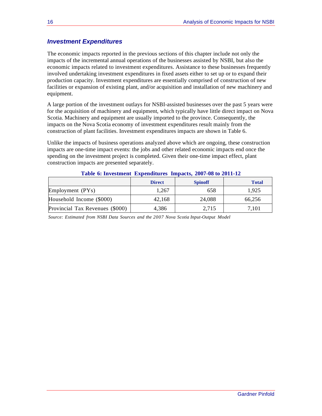### *Investment Expenditures*

The economic impacts reported in the previous sections of this chapter include not only the impacts of the incremental annual operations of the businesses assisted by NSBI, but also the economic impacts related to investment expenditures. Assistance to these businesses frequently involved undertaking investment expenditures in fixed assets either to set up or to expand their production capacity. Investment expenditures are essentially comprised of construction of new facilities or expansion of existing plant, and/or acquisition and installation of new machinery and equipment.

A large portion of the investment outlays for NSBI-assisted businesses over the past 5 years were for the acquisition of machinery and equipment, which typically have little direct impact on Nova Scotia. Machinery and equipment are usually imported to the province. Consequently, the impacts on the Nova Scotia economy of investment expenditures result mainly from the construction of plant facilities. Investment expenditures impacts are shown in Table 6.

Unlike the impacts of business operations analyzed above which are ongoing, these construction impacts are one-time impact events: the jobs and other related economic impacts end once the spending on the investment project is completed. Given their one-time impact effect, plant construction impacts are presented separately.

| Table of hivestingne Expenditures Impacts, 2007-00 to 2011-12 |               |                |              |
|---------------------------------------------------------------|---------------|----------------|--------------|
|                                                               | <b>Direct</b> | <b>Spinoff</b> | <b>Total</b> |
| Employment $(PYs)$                                            | 1.267         | 658            | 1.925        |
| Household Income (\$000)                                      | 42.168        | 24,088         | 66,256       |
| Provincial Tax Revenues (\$000)                               | 4.386         | 2,715          | 7.101        |

**Table 6: Investment Expenditures Impacts, 2007-08 to 2011-12**

*Source: Estimated from NSBI Data Sources and the 2007 Nova Scotia Input-Output Model*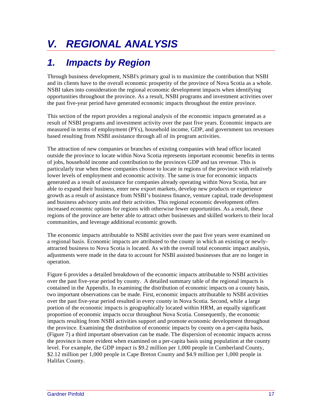# *V. REGIONAL ANALYSIS*

## *1. Impacts by Region*

Through business development, NSBI's primary goal is to maximize the contribution that NSBI and its clients have to the overall economic prosperity of the province of Nova Scotia as a whole. NSBI takes into consideration the regional economic development impacts when identifying opportunities throughout the province. As a result, NSBI programs and investment activities over the past five-year period have generated economic impacts throughout the entire province.

This section of the report provides a regional analysis of the economic impacts generated as a result of NSBI programs and investment activity over the past five years. Economic impacts are measured in terms of employment (PYs), household income, GDP, and government tax revenues based resulting from NSBI assistance through all of its program activities.

The attraction of new companies or branches of existing companies with head office located outside the province to locate within Nova Scotia represents important economic benefits in terms of jobs, household income and contribution to the provinces GDP and tax revenue. This is particularly true when these companies choose to locate in regions of the province with relatively lower levels of employment and economic activity. The same is true for economic impacts generated as a result of assistance for companies already operating within Nova Scotia, but are able to expand their business, enter new export markets, develop new products or experience growth as a result of assistance from NSBI's business finance, venture capital, trade development and business advisory units and their activities. This regional economic development offers increased economic options for regions with otherwise fewer opportunities. As a result, these regions of the province are better able to attract other businesses and skilled workers to their local communities, and leverage additional economic growth.

The economic impacts attributable to NSBI activities over the past five years were examined on a regional basis. Economic impacts are attributed to the county in which an existing or newlyattracted business to Nova Scotia is located. As with the overall total economic impact analysis, adjustments were made in the data to account for NSBI assisted businesses that are no longer in operation.

Figure 6 provides a detailed breakdown of the economic impacts attributable to NSBI activities over the past five-year period by county. A detailed summary table of the regional impacts is contained in the Appendix. In examining the distribution of economic impacts on a county basis, two important observations can be made. First, economic impacts attributable to NSBI activities over the past five-year period resulted in every county in Nova Scotia. Second, while a large portion of the economic impacts is geographically located within HRM, an equally significant proportion of economic impacts occur throughout Nova Scotia. Consequently, the economic impacts resulting from NSBI activities support and promote economic development throughout the province. Examining the distribution of economic impacts by county on a per-capita basis, (Figure 7) a third important observation can be made. The dispersion of economic impacts across the province is more evident when examined on a per-capita basis using population at the county level. For example, the GDP impact is \$9.2 million per 1,000 people in Cumberland County, \$2.12 million per 1,000 people in Cape Breton County and \$4.9 million per 1,000 people in Halifax County.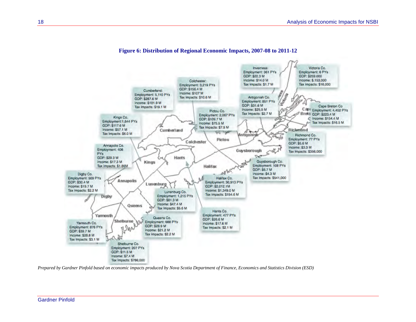

#### **Figure 6: Distribution of Regional Economic Impacts, 2007-08 to 2011-12**

*Prepared by Gardner Pinfold based on economic impacts produced by Nova Scotia Department of Finance, Economics and Statistics Division (ESD)*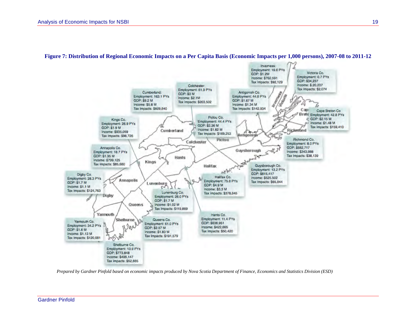

#### **Figure 7: Distribution of Regional Economic Impacts on a Per Capita Basis (Economic Impacts per 1,000 persons), 2007-08 to 2011-12**

*Prepared by Gardner Pinfold based on economic impacts produced by Nova Scotia Department of Finance, Economics and Statistics Division (ESD)*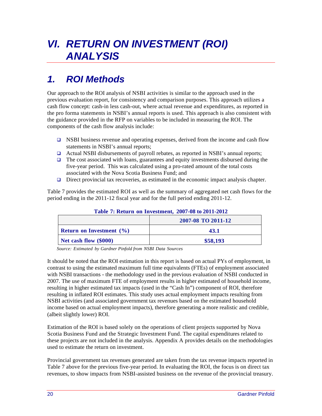# *VI. RETURN ON INVESTMENT (ROI) ANALYSIS*

## *1. ROI Methods*

Our approach to the ROI analysis of NSBI activities is similar to the approach used in the previous evaluation report, for consistency and comparison purposes. This approach utilizes a cash flow concept: cash-in less cash-out, where actual revenue and expenditures, as reported in the pro forma statements in NSBI's annual reports is used. This approach is also consistent with the guidance provided in the RFP on variables to be included in measuring the ROI. The components of the cash flow analysis include:

- $\Box$  NSBI business revenue and operating expenses, derived from the income and cash flow statements in NSBI's annual reports;
- Actual NSBI disbursements of payroll rebates, as reported in NSBI's annual reports;
- $\Box$  The cost associated with loans, guarantees and equity investments disbursed during the five-year period. This was calculated using a pro-rated amount of the total costs associated with the Nova Scotia Business Fund; and
- $\Box$  Direct provincial tax recoveries, as estimated in the economic impact analysis chapter.

Table 7 provides the estimated ROI as well as the summary of aggregated net cash flows for the period ending in the 2011-12 fiscal year and for the full period ending 2011-12.

| <b>Table 7: Return on Investment, 2007-00 to 2011-2012</b> |                    |  |  |
|------------------------------------------------------------|--------------------|--|--|
|                                                            | 2007-08 TO 2011-12 |  |  |
| <b>Return on Investment</b> $(\% )$                        | 43.1               |  |  |
| Net cash flow (\$000)                                      | \$58,193           |  |  |

### **Table 7: Return on Investment, 2007-08 to 2011-2012**

*Source: Estimated by Gardner Pinfold from NSBI Data Sources*

It should be noted that the ROI estimation in this report is based on actual PYs of employment, in contrast to using the estimated maximum full time equivalents (FTEs) of employment associated with NSBI transactions - the methodology used in the previous evaluation of NSBI conducted in 2007. The use of maximum FTE of employment results in higher estimated of household income, resulting in higher estimated tax impacts (used in the "Cash In") component of ROI, therefore resulting in inflated ROI estimates. This study uses actual employment impacts resulting from NSBI activities (and associated government tax revenues based on the estimated household income based on actual employment impacts), therefore generating a more realistic and credible, (albeit slightly lower) ROI.

Estimation of the ROI is based solely on the operations of client projects supported by Nova Scotia Business Fund and the Strategic Investment Fund. The capital expenditures related to these projects are not included in the analysis. Appendix A provides details on the methodologies used to estimate the return on investment.

Provincial government tax revenues generated are taken from the tax revenue impacts reported in Table 7 above for the previous five-year period. In evaluating the ROI, the focus is on direct tax revenues, to show impacts from NSBI-assisted business on the revenue of the provincial treasury.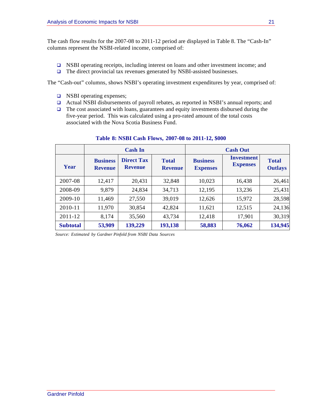The cash flow results for the 2007-08 to 2011-12 period are displayed in Table 8. The "Cash-In" columns represent the NSBI-related income, comprised of:

- NSBI operating receipts, including interest on loans and other investment income; and
- □ The direct provincial tax revenues generated by NSBI-assisted businesses.

The "Cash-out" columns, shows NSBI's operating investment expenditures by year, comprised of:

- □ NSBI operating expenses;
- Actual NSBI disbursements of payroll rebates, as reported in NSBI's annual reports; and
- $\Box$  The cost associated with loans, guarantees and equity investments disbursed during the five-year period. This was calculated using a pro-rated amount of the total costs associated with the Nova Scotia Business Fund.

|                 | <b>Cash In</b>                    |                                     |                                |                                    |                                      |                                |  | <b>Cash Out</b> |  |
|-----------------|-----------------------------------|-------------------------------------|--------------------------------|------------------------------------|--------------------------------------|--------------------------------|--|-----------------|--|
| Year            | <b>Business</b><br><b>Revenue</b> | <b>Direct Tax</b><br><b>Revenue</b> | <b>Total</b><br><b>Revenue</b> | <b>Business</b><br><b>Expenses</b> | <b>Investment</b><br><b>Expenses</b> | <b>Total</b><br><b>Outlays</b> |  |                 |  |
| 2007-08         | 12,417                            | 20,431                              | 32,848                         | 10,023                             | 16,438                               | 26,461                         |  |                 |  |
| 2008-09         | 9,879                             | 24,834                              | 34,713                         | 12,195                             | 13,236                               | 25,431                         |  |                 |  |
| 2009-10         | 11,469                            | 27,550                              | 39,019                         | 12,626                             | 15,972                               | 28,598                         |  |                 |  |
| 2010-11         | 11,970                            | 30,854                              | 42,824                         | 11,621                             | 12,515                               | 24,136                         |  |                 |  |
| 2011-12         | 8,174                             | 35,560                              | 43,734                         | 12,418                             | 17,901                               | 30,319                         |  |                 |  |
| <b>Subtotal</b> | 53,909                            | 139,229                             | 193,138                        | 58,883                             | 76,062                               | 134,945                        |  |                 |  |

#### **Table 8: NSBI Cash Flows, 2007-08 to 2011-12, \$000**

*Source: Estimated by Gardner Pinfold from NSBI Data Sources*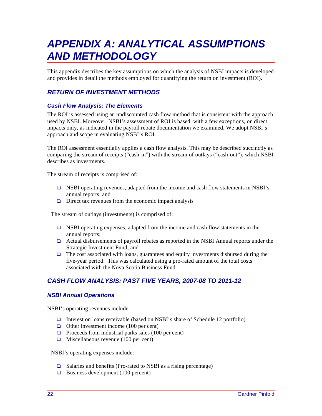# *APPENDIX A: ANALYTICAL ASSUMPTIONS AND METHODOLOGY*

This appendix describes the key assumptions on which the analysis of NSBI impacts is developed and provides in detail the methods employed for quantifying the return on investment (ROI).

### *RETURN OF INVESTMENT METHODS*

### *Cash Flow Analysis: The Elements*

The ROI is assessed using an undiscounted cash flow method that is consistent with the approach used by NSBI. Moreover, NSBI's assessment of ROI is based, with a few exceptions, on direct impacts only, as indicated in the payroll rebate documentation we examined. We adopt NSBI's approach and scope in evaluating NSBI's ROI.

The ROI assessment essentially applies a cash flow analysis. This may be described succinctly as comparing the stream of receipts ("cash-in") with the stream of outlays ("cash-out"), which NSBI describes as investments.

The stream of receipts is comprised of:

- NSBI operating revenues, adapted from the income and cash flow statements in NSBI's annual reports; and
- $\Box$  Direct tax revenues from the economic impact analysis

The stream of outlays (investments) is comprised of:

- $\Box$  NSBI operating expenses, adapted from the income and cash flow statements in the annual reports;
- Actual disbursements of payroll rebates as reported in the NSBI Annual reports under the Strategic Investment Fund; and
- $\Box$  The cost associated with loans, guarantees and equity investments disbursed during the five-year period. This was calculated using a pro-rated amount of the total costs associated with the Nova Scotia Business Fund.

### *CASH FLOW ANALYSIS: PAST FIVE YEARS, 2007-08 TO 2011-12*

### *NSBI Annual Operations*

NSBI's operating revenues include:

- Interest on loans receivable (based on NSBI's share of Schedule 12 portfolio)
- Other investment income  $(100 \text{ per cent})$
- Proceeds from industrial parks sales  $(100 \text{ per cent})$
- $\Box$  Miscellaneous revenue (100 per cent)

NSBI's operating expenses include:

- $\Box$  Salaries and benefits (Pro-rated to NSBI as a rising percentage)
- $\Box$  Business development (100 percent)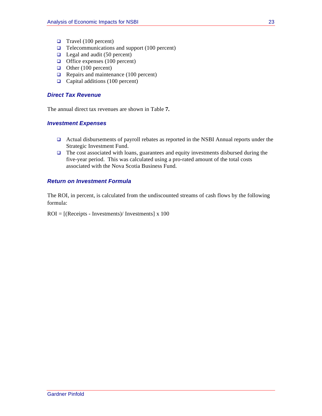- $\Box$  Travel (100 percent)
- $\Box$  Telecommunications and support (100 percent)
- $\Box$  Legal and audit (50 percent)
- $\Box$  Office expenses (100 percent)
- $\Box$  Other (100 percent)
- $\Box$  Repairs and maintenance (100 percent)
- $\Box$  Capital additions (100 percent)

### *Direct Tax Revenue*

The annual direct tax revenues are shown in Table **7.**

### *Investment Expenses*

- Actual disbursements of payroll rebates as reported in the NSBI Annual reports under the Strategic Investment Fund.
- $\Box$  The cost associated with loans, guarantees and equity investments disbursed during the five-year period. This was calculated using a pro-rated amount of the total costs associated with the Nova Scotia Business Fund.

### *Return on Investment Formula*

The ROI, in percent, is calculated from the undiscounted streams of cash flows by the following formula:

 $ROI = [(Receipts - Investments) / Investments] x 100$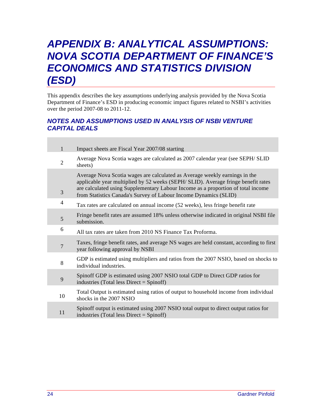## *APPENDIX B: ANALYTICAL ASSUMPTIONS: NOVA SCOTIA DEPARTMENT OF FINANCE'S ECONOMICS AND STATISTICS DIVISION (ESD)*

This appendix describes the key assumptions underlying analysis provided by the Nova Scotia Department of Finance's ESD in producing economic impact figures related to NSBI's activities over the period 2007-08 to 2011-12.

### *NOTES AND ASSUMPTIONS USED IN ANALYSIS OF NSBI VENTURE CAPITAL DEALS*

| $\mathbf{1}$   | Impact sheets are Fiscal Year 2007/08 starting                                                                                                                                                                                                                                                                          |
|----------------|-------------------------------------------------------------------------------------------------------------------------------------------------------------------------------------------------------------------------------------------------------------------------------------------------------------------------|
| $\overline{2}$ | Average Nova Scotia wages are calculated as 2007 calendar year (see SEPH/ SLID<br>sheets)                                                                                                                                                                                                                               |
| 3              | Average Nova Scotia wages are calculated as Average weekly earnings in the<br>applicable year multiplied by 52 weeks (SEPH/ SLID). Average fringe benefit rates<br>are calculated using Supplementary Labour Income as a proportion of total income<br>from Statistics Canada's Survey of Labour Income Dynamics (SLID) |
| 4              | Tax rates are calculated on annual income (52 weeks), less fringe benefit rate                                                                                                                                                                                                                                          |
| 5              | Fringe benefit rates are assumed 18% unless otherwise indicated in original NSBI file<br>submission.                                                                                                                                                                                                                    |
| 6              | All tax rates are taken from 2010 NS Finance Tax Proforma.                                                                                                                                                                                                                                                              |
| $\overline{7}$ | Taxes, fringe benefit rates, and average NS wages are held constant, according to first<br>year following approval by NSBI                                                                                                                                                                                              |
| 8              | GDP is estimated using multipliers and ratios from the 2007 NSIO, based on shocks to<br>individual industries.                                                                                                                                                                                                          |
| 9              | Spinoff GDP is estimated using 2007 NSIO total GDP to Direct GDP ratios for<br>industries (Total less Direct = $Spinoff$ )                                                                                                                                                                                              |
| 10             | Total Output is estimated using ratios of output to household income from individual<br>shocks in the 2007 NSIO                                                                                                                                                                                                         |
| 11             | Spinoff output is estimated using 2007 NSIO total output to direct output ratios for<br>industries (Total less Direct = $Spinoff$ )                                                                                                                                                                                     |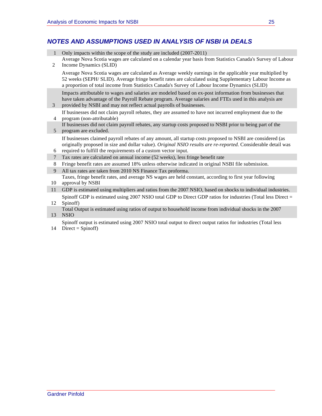### *NOTES AND ASSUMPTIONS USED IN ANALYSIS OF NSBI IA DEALS*

- 1 Only impacts within the scope of the study are included (2007-2011)
- 2 Average Nova Scotia wages are calculated on a calendar year basis from Statistics Canada's Survey of Labour Income Dynamics (SLID)

Average Nova Scotia wages are calculated as Average weekly earnings in the applicable year multiplied by 52 weeks (SEPH/ SLID). Average fringe benefit rates are calculated using Supplementary Labour Income as a proportion of total income from Statistics Canada's Survey of Labour Income Dynamics (SLID)

Impacts attributable to wages and salaries are modeled based on ex-post information from businesses that have taken advantage of the Payroll Rebate program. Average salaries and FTEs used in this analysis are provided by NSBI and may not reflect actual payrolls of businesses.

- 4 program (non-attributable) If businesses did not claim payroll rebates, they are assumed to have not incurred employment due to the
- 5 program are excluded. If businesses did not claim payroll rebates, any startup costs proposed to NSBI prior to being part of the

If businesses claimed payroll rebates of any amount, all startup costs proposed to NSBI are considered (as originally proposed in size and dollar value). *Original NSIO results are re-reported*. Considerable detail was required to fulfill the requirements of a custom vector input.

- 6 7 Tax rates are calculated on annual income (52 weeks), less fringe benefit rate
- 8 Fringe benefit rates are assumed 18% unless otherwise indicated in original NSBI file submission.
- 9 All tax rates are taken from 2010 NS Finance Tax proforma.

10 Taxes, fringe benefit rates, and average NS wages are held constant, according to first year following approval by NSBI

- 11 GDP is estimated using multipliers and ratios from the 2007 NSIO, based on shocks to individual industries. Spinoff GDP is estimated using 2007 NSIO total GDP to Direct GDP ratios for industries (Total less Direct =
- 12 Spinoff)

3

13 Total Output is estimated using ratios of output to household income from individual shocks in the 2007 NSIO

14 Direct = Spinoff)Spinoff output is estimated using 2007 NSIO total output to direct output ratios for industries (Total less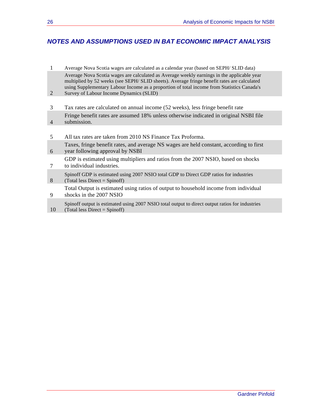### *NOTES AND ASSUMPTIONS USED IN BAT ECONOMIC IMPACT ANALYSIS*

- 1 Average Nova Scotia wages are calculated as a calendar year (based on SEPH/ SLID data) 2 Average Nova Scotia wages are calculated as Average weekly earnings in the applicable year multiplied by 52 weeks (see SEPH/ SLID sheets). Average fringe benefit rates are calculated using Supplementary Labour Income as a proportion of total income from Statistics Canada's Survey of Labour Income Dynamics (SLID)
- 3 Tax rates are calculated on annual income (52 weeks), less fringe benefit rate 4 Fringe benefit rates are assumed 18% unless otherwise indicated in original NSBI file submission.
- 5 All tax rates are taken from 2010 NS Finance Tax Proforma.
- 6 Taxes, fringe benefit rates, and average NS wages are held constant, according to first year following approval by NSBI
- 7 GDP is estimated using multipliers and ratios from the 2007 NSIO, based on shocks to individual industries.
- 8 Spinoff GDP is estimated using 2007 NSIO total GDP to Direct GDP ratios for industries (Total less Direct = Spinoff)
- 9 Total Output is estimated using ratios of output to household income from individual shocks in the 2007 NSIO
- 10 Spinoff output is estimated using 2007 NSIO total output to direct output ratios for industries  $(Total less Direct = Spinoff)$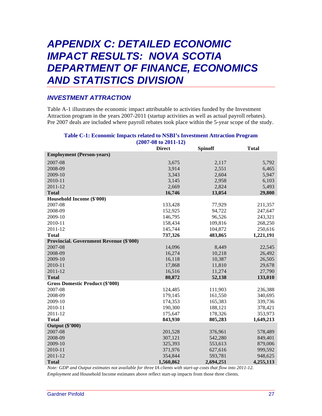## *APPENDIX C: DETAILED ECONOMIC IMPACT RESULTS: NOVA SCOTIA DEPARTMENT OF FINANCE, ECONOMICS AND STATISTICS DIVISION*

### *INVESTMENT ATTRACTION*

Table A-1 illustrates the economic impact attributable to activities funded by the Investment Attraction program in the years 2007-2011 (startup activities as well as actual payroll rebates). Pre 2007 deals are included where payroll rebates took place within the 5-year scope of the study.

|                                                | <b>Direct</b> | <b>Spinoff</b> | <b>Total</b> |
|------------------------------------------------|---------------|----------------|--------------|
| <b>Employment (Person-years)</b>               |               |                |              |
| 2007-08                                        | 3,675         | 2,117          | 5,792        |
| 2008-09                                        | 3,914         | 2,551          | 6,465        |
| 2009-10                                        | 3,343         | 2,604          | 5,947        |
| 2010-11                                        | 3,145         | 2,958          | 6,103        |
| 2011-12                                        | 2,669         | 2,824          | 5,493        |
| <b>Total</b>                                   | 16,746        | 13,054         | 29,800       |
| Household Income (\$'000)                      |               |                |              |
| 2007-08                                        | 133,428       | 77,929         | 211,357      |
| 2008-09                                        | 152,925       | 94,722         | 247,647      |
| 2009-10                                        | 146,795       | 96,526         | 243,321      |
| 2010-11                                        | 158,434       | 109,816        | 268,250      |
| 2011-12                                        | 145,744       | 104,872        | 250,616      |
| <b>Total</b>                                   | 737,326       | 483,865        | 1,221,191    |
| <b>Provincial. Government Revenue (\$'000)</b> |               |                |              |
| 2007-08                                        | 14,096        | 8,449          | 22,545       |
| 2008-09                                        | 16,274        | 10,218         | 26,492       |
| 2009-10                                        | 16,118        | 10,387         | 26,505       |
| 2010-11                                        | 17,868        | 11,810         | 29,678       |
| 2011-12                                        | 16,516        | 11,274         | 27,790       |
| <b>Total</b>                                   | 80,872        | 52,138         | 133,010      |
| <b>Gross Domestic Product (\$'000)</b>         |               |                |              |
| 2007-08                                        | 124,485       | 111,903        | 236,388      |
| 2008-09                                        | 179,145       | 161,550        | 340,695      |
| 2009-10                                        | 174,353       | 165,383        | 339,736      |
| 2010-11                                        | 190,300       | 188,121        | 378,421      |
| 2011-12                                        | 175,647       | 178,326        | 353,973      |
| <b>Total</b>                                   | 843,930       | 805,283        | 1,649,213    |
| <b>Output (\$'000)</b>                         |               |                |              |
| 2007-08                                        | 201,528       | 376,961        | 578,489      |
| 2008-09                                        | 307,121       | 542,280        | 849,401      |
| 2009-10                                        | 325,393       | 553,613        | 879,006      |
| 2010-11                                        | 371,976       | 627,616        | 999,592      |
| 2011-12                                        | 354,844       | 593,781        | 948,625      |
| <b>Total</b>                                   | 1,560,862     | 2,694,251      | 4,255,113    |

#### **Table C-1: Economic Impacts related to NSBI's Investment Attraction Program (2007-08 to 2011-12)**

*Note: GDP and Output estimates not available for three IA clients with start-up costs that flow into 2011-12. Employment* and Household Income estimates above reflect start-up impacts from those three clients.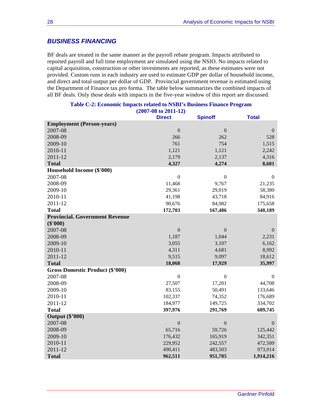### *BUSINESS FINANCING*

BF deals are treated in the same manner as the payroll rebate program. Impacts attributed to reported payroll and full time employment are simulated using the NSIO. No impacts related to capital acquisition, construction or other investments are reported, as these estimates were not provided. Custom runs in each industry are used to estimate GDP per dollar of household income, and direct and total output per dollar of GDP. Provincial government revenue is estimated using the Department of Finance tax pro forma. The table below summarizes the combined impacts of all BF deals. Only those deals with impacts in the five-year window of this report are discussed.

|                                        | $(200/100 10 2011-12)$ |                  |                  |
|----------------------------------------|------------------------|------------------|------------------|
|                                        | <b>Direct</b>          | <b>Spinoff</b>   | <b>Total</b>     |
| <b>Employment (Person-years)</b>       |                        |                  |                  |
| 2007-08                                | $\boldsymbol{0}$       | $\boldsymbol{0}$ | $\mathbf{0}$     |
| 2008-09                                | 266                    | 262              | 528              |
| 2009-10                                | 761                    | 754              | 1,515            |
| 2010-11                                | 1,121                  | 1,121            | 2,242            |
| 2011-12                                | 2,179                  | 2,137            | 4,316            |
| <b>Total</b>                           | 4,327                  | 4,274            | 8,601            |
| Household Income (\$'000)              |                        |                  |                  |
| 2007-08                                | $\boldsymbol{0}$       | $\boldsymbol{0}$ | $\overline{0}$   |
| 2008-09                                | 11,468                 | 9,767            | 21,235           |
| 2009-10                                | 29,361                 | 29,019           | 58,380           |
| 2010-11                                | 41,198                 | 43,718           | 84,916           |
| 2011-12                                | 90,676                 | 84,982           | 175,658          |
| <b>Total</b>                           | 172,703                | 167,486          | 340,189          |
| <b>Provincial. Government Revenue</b>  |                        |                  |                  |
| $(\$'000)$                             |                        |                  |                  |
| 2007-08                                | $\boldsymbol{0}$       | $\boldsymbol{0}$ | $\mathbf{0}$     |
| 2008-09                                | 1,187                  | 1,044            | 2,231            |
| 2009-10                                | 3,055                  | 3,107            | 6,162            |
| 2010-11                                | 4,311                  | 4,681            | 8,992            |
| 2011-12                                | 9,515                  | 9,097            | 18,612           |
| <b>Total</b>                           | 18,068                 | 17,929           | 35,997           |
| <b>Gross Domestic Product (\$'000)</b> |                        |                  |                  |
| 2007-08                                | $\boldsymbol{0}$       | $\boldsymbol{0}$ | $\boldsymbol{0}$ |
| 2008-09                                | 27,507                 | 17,201           | 44,708           |
| 2009-10                                | 83,155                 | 50,491           | 133,646          |
| 2010-11                                | 102,337                | 74,352           | 176,689          |
| 2011-12                                | 184,977                | 149,725          | 334,702          |
| <b>Total</b>                           | 397,976                | 291,769          | 689,745          |
| <b>Output (\$'000)</b>                 |                        |                  |                  |
| 2007-08                                | $\boldsymbol{0}$       | $\boldsymbol{0}$ | $\mathbf{0}$     |
| 2008-09                                | 65,716                 | 59,726           | 125,442          |
| 2009-10                                | 176,432                | 165,919          | 342,351          |
| 2010-11                                | 229,952                | 242,557          | 472,509          |
| 2011-12                                | 490,411                | 483,503          | 973,914          |
| <b>Total</b>                           | 962,511                | 951,705          | 1,914,216        |

#### **Table C-2: Economic Impacts related to NSBI's Business Finance Program (2007-08 to 2011-12)**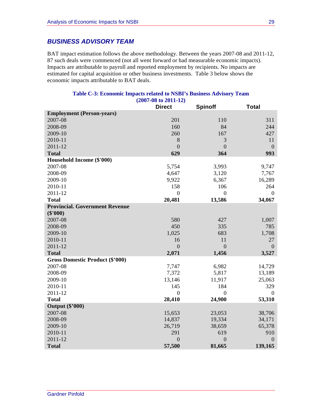### *BUSINESS ADVISORY TEAM*

BAT impact estimation follows the above methodology. Between the years 2007-08 and 2011-12, 87 such deals were commenced (not all went forward or had measurable economic impacts). Impacts are attributable to payroll and reported employment by recipients. No impacts are estimated for capital acquisition or other business investments. Table 3 below shows the economic impacts attributable to BAT deals.

|                                        | $(2007-08 \text{ to } 2011-12)$<br><b>Direct</b> | <b>Spinoff</b> | <b>Total</b>   |
|----------------------------------------|--------------------------------------------------|----------------|----------------|
| <b>Employment (Person-years)</b>       |                                                  |                |                |
| 2007-08                                | 201                                              | 110            | 311            |
| 2008-09                                | 160                                              | 84             | 244            |
| 2009-10                                | 260                                              | 167            | 427            |
| 2010-11                                | 8                                                | 3              | 11             |
| 2011-12                                | $\overline{0}$                                   | $\overline{0}$ | $\overline{0}$ |
| <b>Total</b>                           | 629                                              | 364            | 993            |
| Household Income (\$'000)              |                                                  |                |                |
| 2007-08                                | 5,754                                            | 3,993          | 9,747          |
| 2008-09                                | 4,647                                            | 3,120          | 7,767          |
| 2009-10                                | 9,922                                            | 6,367          | 16,289         |
| 2010-11                                | 158                                              | 106            | 264            |
| 2011-12                                | $\boldsymbol{0}$                                 | $\overline{0}$ | $\mathbf{0}$   |
| <b>Total</b>                           | 20,481                                           | 13,586         | 34,067         |
| <b>Provincial. Government Revenue</b>  |                                                  |                |                |
| $(\$'000)$                             |                                                  |                |                |
| 2007-08                                | 580                                              | 427            | 1,007          |
| 2008-09                                | 450                                              | 335            | 785            |
| 2009-10                                | 1,025                                            | 683            | 1,708          |
| 2010-11                                | 16                                               | 11             | 27             |
| 2011-12                                | $\overline{0}$                                   | $\overline{0}$ | $\overline{0}$ |
| <b>Total</b>                           | 2,071                                            | 1,456          | 3,527          |
| <b>Gross Domestic Product (\$'000)</b> |                                                  |                |                |
| 2007-08                                | 7,747                                            | 6,982          | 14,729         |
| 2008-09                                | 7,372                                            | 5,817          | 13,189         |
| 2009-10                                | 13,146                                           | 11,917         | 25,063         |
| 2010-11                                | 145                                              | 184            | 329            |
| 2011-12                                | $\boldsymbol{0}$                                 | $\theta$       | $\theta$       |
| <b>Total</b>                           | 28,410                                           | 24,900         | 53,310         |
| <b>Output (\$'000)</b>                 |                                                  |                |                |
| 2007-08                                | 15,653                                           | 23,053         | 38,706         |
| 2008-09                                | 14,837                                           | 19,334         | 34,171         |
| 2009-10                                | 26,719                                           | 38,659         | 65,378         |
| 2010-11                                | 291                                              | 619            | 910            |
| 2011-12                                | $\overline{0}$                                   | $\overline{0}$ | $\mathbf{0}$   |
| <b>Total</b>                           | 57,500                                           | 81,665         | 139,165        |

### **Table C-3: Economic Impacts related to NSBI's Business Advisory Team (2007-08 to 2011-12)**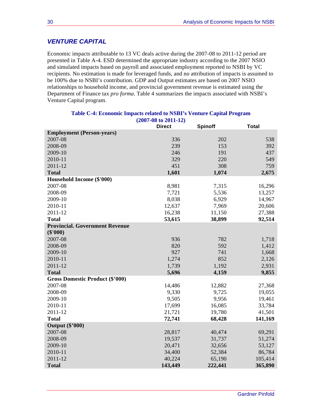### *VENTURE CAPITAL*

Economic impacts attributable to 13 VC deals active during the 2007-08 to 2011-12 period are presented in Table A-4. ESD determined the appropriate industry according to the 2007 NSIO and simulated impacts based on payroll and associated employment reported to NSBI by VC recipients. No estimation is made for leveraged funds, and no attribution of impacts is assumed to be 100% due to NSBI's contribution. GDP and Output estimates are based on 2007 NSIO relationships to household income, and provincial government revenue is estimated using the Department of Finance tax *pro forma*. Table 4 summarizes the impacts associated with NSBI's Venture Capital program.

|                                        | $(200/-08 \text{ to } 2011-12)$ |                |              |
|----------------------------------------|---------------------------------|----------------|--------------|
|                                        | <b>Direct</b>                   | <b>Spinoff</b> | <b>Total</b> |
| <b>Employment (Person-years)</b>       |                                 |                |              |
| 2007-08                                | 336                             | 202            | 538          |
| 2008-09                                | 239                             | 153            | 392          |
| 2009-10                                | 246                             | 191            | 437          |
| 2010-11                                | 329                             | 220            | 549          |
| 2011-12                                | 451                             | 308            | 759          |
| <b>Total</b>                           | 1,601                           | 1,074          | 2,675        |
| Household Income (\$'000)              |                                 |                |              |
| 2007-08                                | 8,981                           | 7,315          | 16,296       |
| 2008-09                                | 7,721                           | 5,536          | 13,257       |
| 2009-10                                | 8,038                           | 6,929          | 14,967       |
| 2010-11                                | 12,637                          | 7,969          | 20,606       |
| 2011-12                                | 16,238                          | 11,150         | 27,388       |
| <b>Total</b>                           | 53,615                          | 38,899         | 92,514       |
| <b>Provincial. Government Revenue</b>  |                                 |                |              |
| (\$'000)                               |                                 |                |              |
| 2007-08                                | 936                             | 782            | 1,718        |
| 2008-09                                | 820                             | 592            | 1,412        |
| 2009-10                                | 927                             | 741            | 1,668        |
| 2010-11                                | 1,274                           | 852            | 2,126        |
| 2011-12                                | 1,739                           | 1,192          | 2,931        |
| <b>Total</b>                           | 5,696                           | 4,159          | 9,855        |
| <b>Gross Domestic Product (\$'000)</b> |                                 |                |              |
| 2007-08                                | 14,486                          | 12,882         | 27,368       |
| 2008-09                                | 9,330                           | 9,725          | 19,055       |
| 2009-10                                | 9,505                           | 9,956          | 19,461       |
| 2010-11                                | 17,699                          | 16,085         | 33,784       |
| 2011-12                                | 21,721                          | 19,780         | 41,501       |
| <b>Total</b>                           | 72,741                          | 68,428         | 141,169      |
| <b>Output (\$'000)</b>                 |                                 |                |              |
| 2007-08                                | 28,817                          | 40,474         | 69,291       |
| 2008-09                                | 19,537                          | 31,737         | 51,274       |
| 2009-10                                | 20,471                          | 32,656         | 53,127       |
| 2010-11                                | 34,400                          | 52,384         | 86,784       |
| 2011-12                                | 40,224                          | 65,190         | 105,414      |
| <b>Total</b>                           | 143,449                         | 222,441        | 365,890      |

#### **Table C-4: Economic Impacts related to NSBI's Venture Capital Program**   $(2007 - 20)$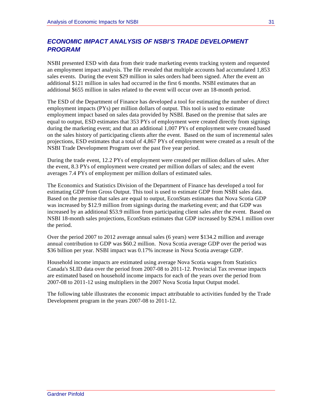### *ECONOMIC IMPACT ANALYSIS OF NSBI'S TRADE DEVELOPMENT PROGRAM*

NSBI presented ESD with data from their trade marketing events tracking system and requested an employment impact analysis. The file revealed that multiple accounts had accumulated 1,853 sales events. During the event \$29 million in sales orders had been signed. After the event an additional \$121 million in sales had occurred in the first 6 months. NSBI estimates that an additional \$655 million in sales related to the event will occur over an 18-month period.

The ESD of the Department of Finance has developed a tool for estimating the number of direct employment impacts (PYs) per million dollars of output. This tool is used to estimate employment impact based on sales data provided by NSBI. Based on the premise that sales are equal to output, ESD estimates that 353 PYs of employment were created directly from signings during the marketing event; and that an additional 1,007 PYs of employment were created based on the sales history of participating clients after the event. Based on the sum of incremental sales projections, ESD estimates that a total of 4,867 PYs of employment were created as a result of the NSBI Trade Development Program over the past five year period.

During the trade event, 12.2 PYs of employment were created per million dollars of sales. After the event, 8.3 PYs of employment were created per million dollars of sales; and the event averages 7.4 PYs of employment per million dollars of estimated sales.

The Economics and Statistics Division of the Department of Finance has developed a tool for estimating GDP from Gross Output. This tool is used to estimate GDP from NSBI sales data. Based on the premise that sales are equal to output, EconStats estimates that Nova Scotia GDP was increased by \$12.9 million from signings during the marketing event; and that GDP was increased by an additional \$53.9 million from participating client sales after the event. Based on NSBI 18-month sales projections, EconStats estimates that GDP increased by \$294.1 million over the period.

Over the period 2007 to 2012 average annual sales (6 years) were \$134.2 million and average annual contribution to GDP was \$60.2 million. Nova Scotia average GDP over the period was \$36 billion per year. NSBI impact was 0.17% increase in Nova Scotia average GDP.

Household income impacts are estimated using average Nova Scotia wages from Statistics Canada's SLID data over the period from 2007-08 to 2011-12. Provincial Tax revenue impacts are estimated based on household income impacts for each of the years over the period from 2007-08 to 2011-12 using multipliers in the 2007 Nova Scotia Input Output model.

The following table illustrates the economic impact attributable to activities funded by the Trade Development program in the years 2007-08 to 2011-12.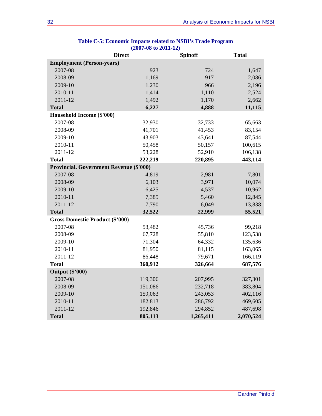| <b>Direct</b>                                  |         | <b>Spinoff</b> | <b>Total</b> |
|------------------------------------------------|---------|----------------|--------------|
| <b>Employment (Person-years)</b>               |         |                |              |
| 2007-08                                        | 923     | 724            | 1,647        |
| 2008-09                                        | 1,169   | 917            | 2,086        |
| 2009-10                                        | 1,230   | 966            | 2,196        |
| 2010-11                                        | 1,414   | 1,110          | 2,524        |
| 2011-12                                        | 1,492   | 1,170          | 2,662        |
| <b>Total</b>                                   | 6,227   | 4,888          | 11,115       |
| Household Income (\$'000)                      |         |                |              |
| 2007-08                                        | 32,930  | 32,733         | 65,663       |
| 2008-09                                        | 41,701  | 41,453         | 83,154       |
| 2009-10                                        | 43,903  | 43,641         | 87,544       |
| 2010-11                                        | 50,458  | 50,157         | 100,615      |
| 2011-12                                        | 53,228  | 52,910         | 106,138      |
| <b>Total</b>                                   | 222,219 | 220,895        | 443,114      |
| <b>Provincial. Government Revenue (\$'000)</b> |         |                |              |
| 2007-08                                        | 4,819   | 2,981          | 7,801        |
| 2008-09                                        | 6,103   | 3,971          | 10,074       |
| 2009-10                                        | 6,425   | 4,537          | 10,962       |
| 2010-11                                        | 7,385   | 5,460          | 12,845       |
| 2011-12                                        | 7,790   | 6,049          | 13,838       |
| <b>Total</b>                                   | 32,522  | 22,999         | 55,521       |
| <b>Gross Domestic Product (\$'000)</b>         |         |                |              |
| 2007-08                                        | 53,482  | 45,736         | 99,218       |
| 2008-09                                        | 67,728  | 55,810         | 123,538      |
| 2009-10                                        | 71,304  | 64,332         | 135,636      |
| 2010-11                                        | 81,950  | 81,115         | 163,065      |
| 2011-12                                        | 86,448  | 79,671         | 166,119      |
| <b>Total</b>                                   | 360,912 | 326,664        | 687,576      |
| <b>Output (\$'000)</b>                         |         |                |              |
| 2007-08                                        | 119,306 | 207,995        | 327,301      |
| 2008-09                                        | 151,086 | 232,718        | 383,804      |
| 2009-10                                        | 159,063 | 243,053        | 402,116      |
| 2010-11                                        | 182,813 | 286,792        | 469,605      |
| 2011-12                                        | 192,846 | 294,852        | 487,698      |
| <b>Total</b>                                   | 805,113 | 1,265,411      | 2,070,524    |

#### **Table C-5: Economic Impacts related to NSBI's Trade Program (2007-08 to 2011-12)**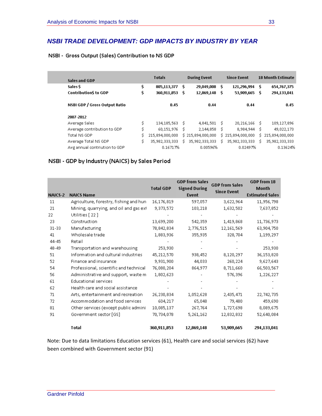### *NSBI TRADE DEVELOPMENT: GDP IMPACTS BY INDUSTRY BY YEAR*

### NSBI - Gross Output (Sales) Contribution to NS GDP

| Sales and GDP                 |     | <b>Totals</b>   |      | <b>During Event</b> |     | <b>Since Event</b> |    | <b>18 Month Estimate</b> |
|-------------------------------|-----|-----------------|------|---------------------|-----|--------------------|----|--------------------------|
| Sales S                       | \$. | 805,113,377     | s    | 29,049,008          | \$. | 121,296,994        | s  | 654,767,375              |
| <b>Contribution\$ to GDP</b>  | \$  | 360,911,853     | -S   | 12,869,148          | S   | 53,909,665         | s  | 294,133,041              |
| NSBI GDP / Gross Output Ratio |     | 0.45            |      | 0.44                |     | 0.44               |    | 0.45                     |
| 2007-2012                     |     |                 |      |                     |     |                    |    |                          |
| Average Sales                 | \$. | 134,185,563     | - \$ | 4,841,501           | Ś   | 20, 216, 166       | Ś. | 109,127,896              |
| Average contribution to GDP   | \$  | 60,151,976      | -S   | 2,144,858           | Ś   | 8,984,944          | s. | 49,022,173               |
| Total NS GDP                  | \$. | 215,894,000,000 |      | \$215,894,000,000   |     | \$215,894,000,000  |    | \$215,894,000,000        |
| Average Total NS GDP          | \$  | 35,982,333,333  | s.   | 35,982,333,333      | Ś.  | 35,982,333,333     | s. | 35, 982, 333, 333        |
| Avg annual contriution to GDP |     | 0.16717%        |      | 0.00596%            |     | 0.02497%           |    | 0.13624%                 |

### NSBI - GDP by Industry (NAICS) by Sales Period

|           |                                        | <b>Total GDP</b> | <b>GDP from Sales</b><br><b>Signed During</b> | <b>GDP</b> from Sales<br><b>Since Event</b> | GDP from 18<br>Month   |
|-----------|----------------------------------------|------------------|-----------------------------------------------|---------------------------------------------|------------------------|
| NAICS-2   | <b>NAICS Name</b>                      |                  | Event                                         |                                             | <b>Estimated Sales</b> |
| 11        | Agriculture, forestry, fishing and hun | 16,176,819       | 597,057                                       | 3,622,964                                   | 11,956,798             |
| 21        | Mining, quarrying, and oil and gas ext | 9,373,572        | 103,218                                       | 1,632,502                                   | 7,637,852              |
| 22        | Utilities [22]                         |                  |                                               |                                             |                        |
| 23        | Construction                           | 13,699,200       | 542,359                                       | 1,419,868                                   | 11,736,973             |
| $31 - 33$ | Manufacturing                          | 78,842,834       | 2,776,515                                     | 12,161,569                                  | 63,904,750             |
| 41        | Wholesale trade                        | 1,883,936        | 355,935                                       | 328,704                                     | 1,199,297              |
| 44-45     | Retail                                 |                  |                                               |                                             |                        |
| 48-49     | Transportation and warehousing         | 253,930          |                                               |                                             | 253,930                |
| 51        | Information and cultural industries    | 45, 212, 570     | 938,452                                       | 8,120,297                                   | 36,153,820             |
| 52        | Finance and insurance                  | 9,931,900        | 44,033                                        | 260,224                                     | 9,627,643              |
| 54        | Professional, scientific and technical | 76,080,204       | 864,977                                       | 8,711,660                                   | 66,503,567             |
| 56        | Administrative and support, waste m    | 1,802,623        |                                               | 576,396                                     | 1,226,227              |
| 61        | <b>Educational services</b>            |                  |                                               |                                             |                        |
| 62        | Health care and social assistance      |                  |                                               |                                             |                        |
| 71        | Arts, entertainment and recreation     | 26,230,834       | 1,052,628                                     | 2,435,471                                   | 22,742,735             |
| 72        | Accommodation and food services        | 604,217          | 65,048                                        | 79,480                                      | 459,690                |
| 81        | Other services (except public admini-  | 10,085,137       | 267,764                                       | 1,727,698                                   | 8,089,675              |
| 91        | Government sector [GS]                 | 70,734,078       | 5,261,162                                     | 12,832,832                                  | 52,640,084             |
|           | Total                                  | 360,911,853      | 12,869,148                                    | 53,909,665                                  | 294,133,041            |

Note: Due to data limitations Education services (61), Health care and social services (62) have been combined with Government sector (91)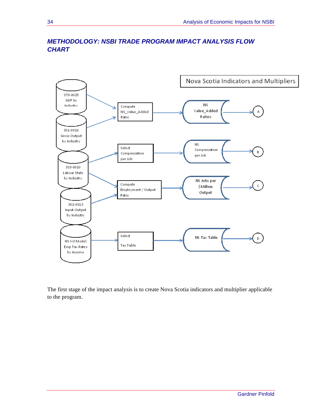

### *METHODOLOGY: NSBI TRADE PROGRAM IMPACT ANALYSIS FLOW CHART*

The first stage of the impact analysis is to create Nova Scotia indicators and multiplier applicable to the program.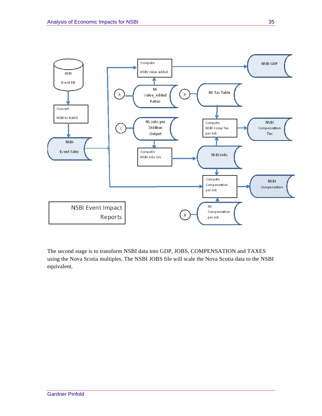

The second stage is to transform NSBI data into GDP, JOBS, COMPENSATION and TAXES using the Nova Scotia multiples. The NSBI JOBS file will scale the Nova Scotia data to the NSBI equivalent.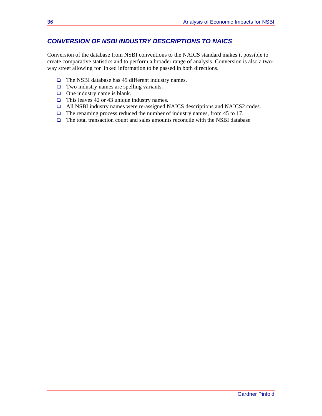### *CONVERSION OF NSBI INDUSTRY DESCRIPTIONS TO NAICS*

Conversion of the database from NSBI conventions to the NAICS standard makes it possible to create comparative statistics and to perform a broader range of analysis. Conversion is also a twoway street allowing for linked information to be passed in both directions.

- $\Box$  The NSBI database has 45 different industry names.
- □ Two industry names are spelling variants.
- $\Box$  One industry name is blank.
- $\Box$  This leaves 42 or 43 unique industry names.
- All NSBI industry names were re-assigned NAICS descriptions and NAICS2 codes.
- $\Box$  The renaming process reduced the number of industry names, from 45 to 17.
- $\Box$  The total transaction count and sales amounts reconcile with the NSBI database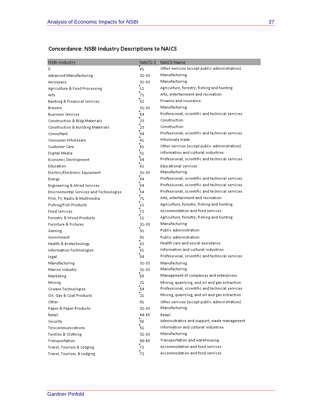### Concordance: NSBI Industry Descriptions to NAICS

| NSBI-Industry                           | NAICS-2          | NAICS Name                                      |
|-----------------------------------------|------------------|-------------------------------------------------|
| 0                                       | 81               | Other services (except public administration).  |
| Advanced Manufacturing                  | 31-33            | Manufacturing                                   |
| Aerospace                               | 31-33            | Manufacturing                                   |
| Agriculture & Food Processing           | 11               | Agriculture, forestry, fishing and hunting      |
| Arts                                    | 71               | Arts, entertainment and recreation              |
| Banking & Financial Services            | 52               | Finance and insurance                           |
| Brewery                                 | 31-33            | Manufacturing                                   |
| Business Services                       | 54               | Professional, scientific and technical services |
| Construction & Bldg Materials           | $\mathbf{z}_2$   | Construction                                    |
| Construction & Building Materials       | $\mathbf{z}_3$   | Construction                                    |
| Consultant                              | 54               | Professional, scientific and technical services |
| Consumer Wholesale                      | 41               | Wholesale trade                                 |
| <b>Customer Care</b>                    | 81               | Other services (except public administration)   |
| Digital Media                           | 51               | Information and cultural industries             |
| Economic Development                    | 54               | Professional, scientific and technical services |
| Education                               | 61               | <b>Educational services</b>                     |
| Electric/Electronic Equipment           | $31 - 33$        | Manufacturing                                   |
| Energy                                  | 54               | Professional, scientific and technical services |
| Engineering & Allied Services           | 54               | Professional, scientific and technical services |
| Environmental Services and Technologies | 54               | Professional, scientific and technical services |
| Film, TV, Radio & Multimedia            | 71               | Arts, entertainment and recreation.             |
| Fishing/Fish Products                   | $11$             | Agriculture, forestry, fishing and hunting      |
| <b>Food Services</b>                    | 72               | Accommodation and food services                 |
| Forestry & Wood Products                | 11               | Agriculture, forestry, fishing and hunting      |
| Furniture & Fixtures                    | 31-33            | Manufacturing                                   |
| Gaming                                  | $\frac{1}{91}$   | Public administration                           |
| Government                              | 91               | Public administration                           |
| Health & Biotechnology                  | $\frac{1}{62}$   | Health care and social assistance               |
| Information Technologies                | 51               | Information and cultural industries             |
| Legal                                   | 54               | Professional, scientific and technical services |
| Manufacturing                           | 31-33            | Manufacturing                                   |
| Marine Industry                         | 31-33            | Manufacturing                                   |
| Marketing                               | 55               | Management of companies and enterprises         |
| Mining                                  | 21               | Mining, quarrying, and oil and gas extraction   |
| Oceans Technologies                     | 54               | Professional, scientific and technical services |
| Oil, Gas & Coal Products                | 21               | Mining, quarrying, and oil and gas extraction   |
| Other                                   | 81               | Other services (except public administration)   |
| Paper & Paper Products                  | 31-33            | Manufacturing                                   |
| Retail                                  | 44-45            | Retail                                          |
| Security                                | 56               | Administrative and support, waste management    |
| Telecommunications                      | 51               | Information and cultural industries             |
| Textiles & Clothing                     | 31-33            | Manufacturing                                   |
| Transportation                          | 48-49            | Transportation and warehousing                  |
| Travel, Tourism & Lodging               | 72               | Accommodation and food services                 |
| Travel, Tourism, & Lodging              | $\mathbf{z}_{2}$ | Accommodation and food services                 |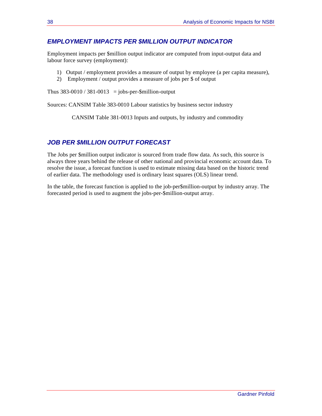### *EMPLOYMENT IMPACTS PER \$MILLION OUTPUT INDICATOR*

Employment impacts per \$million output indicator are computed from input-output data and labour force survey (employment):

- 1) Output / employment provides a measure of output by employee (a per capita measure),
- 2) Employment / output provides a measure of jobs per \$ of output

Thus  $383-0010 / 381-0013 = jobs-per-Smillion-output$ 

Sources: CANSIM Table 383-0010 Labour statistics by business sector industry

CANSIM Table 381-0013 Inputs and outputs, by industry and commodity

### *JOB PER \$MILLION OUTPUT FORECAST*

The Jobs per \$million output indicator is sourced from trade flow data. As such, this source is always three years behind the release of other national and provincial economic account data. To resolve the issue, a forecast function is used to estimate missing data based on the historic trend of earlier data. The methodology used is ordinary least squares (OLS) linear trend.

In the table, the forecast function is applied to the job-per\$million-output by industry array. The forecasted period is used to augment the jobs-per-\$million-output array.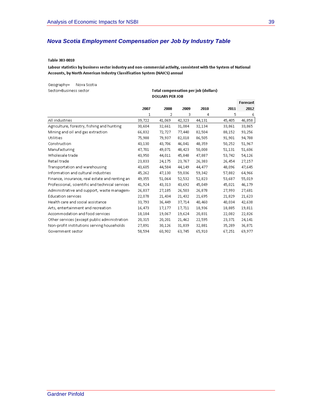### *Nova Scotia Employment Compensation per Job by Industry Table*

#### Table 383-0010

Labour statistics by business sector industry and non-commercial activity, consistent with the System of National Accounts, by North American Industry Classification System (NAICS) annual

Geography= Nova Scotia Sector=Business sector

**Total compensation per job (dollars) DOLLARS PER JOB** 

|                                                 |        |        |        |        |        | Forecast |
|-------------------------------------------------|--------|--------|--------|--------|--------|----------|
|                                                 | 2007   | 2008   | 2009   | 2010   | 2011   | 2012     |
|                                                 | 1      | 2      | 3      | 4      | 5      | 6        |
| All industries                                  | 39,722 | 41,069 | 42,323 | 44,131 | 45,405 | 46,858   |
| Agriculture, forestry, fishing and hunting      | 30,604 | 32,661 | 31,084 | 32,134 | 33,861 | 33,865   |
| Mining and oil and gas extraction               | 66,832 | 72,727 | 77,440 | 82,504 | 88,152 | 93,256   |
| Utilities                                       | 75,988 | 79,937 | 82,018 | 86,505 | 91,901 | 94,788   |
| Construction                                    | 43,130 | 43,706 | 46,041 | 48,359 | 50,252 | 51,967   |
| Manufacturing                                   | 47,701 | 49,071 | 48,423 | 50,008 | 51,131 | 51,606   |
| Wholesale trade                                 | 43,950 | 44,011 | 45,848 | 47,887 | 53,742 | 54,126   |
| Retail trade                                    | 23,833 | 24,175 | 23,767 | 26,383 | 26,454 | 27,157   |
| Transportation and warehousing                  | 43,605 | 44,584 | 44,149 | 44,477 | 48,096 | 47,645   |
| Information and cultural industries             | 45,262 | 47,130 | 59,036 | 59,342 | 57,882 | 64,966   |
| Finance, insurance, real estate and renting an  | 49,355 | 51,064 | 52,532 | 52,823 | 53,687 | 55,019   |
| Professional, scientific and technical services | 41,924 | 43,313 | 43,692 | 45,049 | 45,021 | 46,179   |
| Administrative and support, waste managemi      | 26,837 | 27,185 | 26,503 | 26,878 | 27,993 | 27,681   |
| <b>Education services</b>                       | 22,078 | 21,434 | 21,432 | 21,695 | 21,829 | 21,623   |
| Health care and social assistance               | 33,793 | 36,449 | 37,714 | 40,460 | 40,034 | 42,638   |
| Arts, entertainment and recreation              | 16,473 | 17,177 | 17,711 | 18,936 | 18,885 | 19,811   |
| Accommodation and food services                 | 18,184 | 19,067 | 19,624 | 20,831 | 22,082 | 22,826   |
| Other services (except public administration    | 20,315 | 20,201 | 21,462 | 22,595 | 23,371 | 24,141   |
| Non-profit institutions serving households      | 27,891 | 30,126 | 31,839 | 32,881 | 35,289 | 36,871   |
| Government sector                               | 58,594 | 60,902 | 63,745 | 65,910 | 67,251 | 69,977   |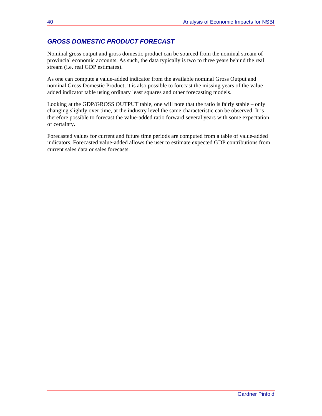### *GROSS DOMESTIC PRODUCT FORECAST*

Nominal gross output and gross domestic product can be sourced from the nominal stream of provincial economic accounts. As such, the data typically is two to three years behind the real stream (i.e. real GDP estimates).

As one can compute a value-added indicator from the available nominal Gross Output and nominal Gross Domestic Product, it is also possible to forecast the missing years of the valueadded indicator table using ordinary least squares and other forecasting models.

Looking at the GDP/GROSS OUTPUT table, one will note that the ratio is fairly stable – only changing slightly over time, at the industry level the same characteristic can be observed. It is therefore possible to forecast the value-added ratio forward several years with some expectation of certainty.

Forecasted values for current and future time periods are computed from a table of value-added indicators. Forecasted value-added allows the user to estimate expected GDP contributions from current sales data or sales forecasts.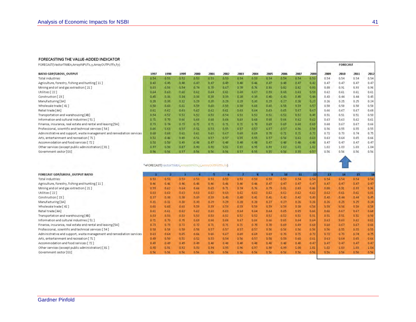#### FORECASTING THE VALUE-ADDED INDICATOR

FORECAST(VectorTIMEn,ArrayINPUTx,v,ArrayOUTPUTfx,fy)

| <b>RATIO GDP/GROSS OUTPUT</b>                                         | 1997 | 1998 | 1999 | 2000 | 2001 | 2002 | 2003 | 2004 | 2005 | 2006  | 2007 | 2008 | 2009 | 2010 | 2011 | 2012 |
|-----------------------------------------------------------------------|------|------|------|------|------|------|------|------|------|-------|------|------|------|------|------|------|
| Total industries                                                      | 0.54 | 0.53 | 0.52 | 0.53 | 0.53 | 0.53 | 0.54 | 0.53 | 0.54 | 0.54  | 0.54 | 0.53 | 0.54 | 0.54 | 0.54 | 0.54 |
| Agriculture, forestry, fishing and hunting [11]                       | 0.43 | 0.45 | 0.48 | 0.47 | 0.47 | 0,49 | 0.48 | 0.46 | 0.47 | 0.48  | 0.47 | 0.42 | 0.47 | 0.47 | 0.47 | 0.47 |
| Mining and oil and gas extraction [21]                                | 0.63 | 0.58 | 0.54 | 0.74 | 0.70 | 0.67 | D.78 | 0.76 | 0.83 | 0.82  | 0.82 | 0.83 | 0.88 | 0.91 | 0.93 | 0.96 |
| Utilities [22]                                                        | 0.64 | 0.63 | 0.60 | 0.62 | 0.64 | 0.61 | 0.68 | 0.67 | 0.59 | 0.60. | 0.69 | 0.59 | 0.62 | 0.61 | 0.61 | 0.61 |
| Construction [23]                                                     | 0.45 | 0.36 | 0.34 | 0.38 | 0.38 | 0.39 | 0.38 | 0.39 | 0.40 | 0.43  | 0.45 | 0.44 | 0.43 | 0.44 | 0.44 | 0.45 |
| Manufacturing [3A]                                                    | 0.28 | 0.30 | 0.32 | 0.29 | 0,30 | D.29 | 0.29 | 0.30 | 0.29 | 0.27  | 0.26 | 0.23 | 0.26 | 0.25 | 0.25 | 0.24 |
| Wholesale trade [41]                                                  | 0.58 | 0.60 | 0.61 | 0.59 | 0.60 | 0.59 | 0.58 | 0.60 | 0.60 | 0.58  | 0.59 | 0.57 | 0.58 | 0.58 | 0.58 | 0.58 |
| Retail trade [4A]                                                     | 0.61 | 0.62 | 0.63 | 0.62 | 0.62 | 0.61 | 0.63 | 0.64 | 0.63 | 0.65  | 0.67 | 0.67 | 0.66 | 0.67 | 0.67 | 0.68 |
| Transportation and warehousing [4B]                                   | 0.54 | 0.52 | 0.53 | 0.52 | 0.53 | 0.54 | 0.53 | 0.52 | 0.51 | 0.52  | 0.52 | 0,49 | 0.51 | 0.51 | 0.51 | 0.50 |
| Information and cultural industries [51]                              | 0.71 | 0.70 | 0.66 | 0.68 | 0.68 | 0.68 | 0.69 | 0.68 | 0.68 | 0.66  | 0.62 | 0.62 | 0.63 | 0.63 | 0.62 | 0.61 |
| Finance, insurance, real estate and rental and leasing [5A]           | 0.73 | 0.74 | 0.72 | 0.71 | 0.71 | 0.71 | 0.71 | 0.70 | 0.69 | 0.69  | 0.68 | 0.69 | 0.68 | 0.67 | 0.67 | 0.66 |
| Professional, scientific and technical services [54]                  | 0.66 | 0.63 | 0.53 | 0.51 | 0.53 | 0.55 | 0.57 | 0.57 | 0.57 | 0.57  | 0.56 | 0.58 | 0.56 | 0.55 | 0.55 | 0.55 |
| Administrative and support, waste management and remediation services | 0.68 | 0.68 | 0.61 | 0.61 | 0.63 | 0.67 | 0.68 | 0.69 | 0.70 | 0.71  | 0.71 | 0.72 | 0.72 | 0.73 | 0.74 | 0.75 |
| Arts, entertainment and recreation [71]                               | 0.52 | 0.46 | 0.49 | 0.51 | 0.57 | 0.57 | 0.55 | 0.55 | 0.57 | 0.56  | 0.62 | 0.63 | 0.63 | 0,64 | 0.65 | 0.66 |
| Accommodation and food services [72]                                  | 0.50 | 0.50 | 0.49 | 0.48 | 0.47 | 0.48 | 0.48 | 0.48 | 0.47 | 0.48  | 0.48 | 0.49 | 0.47 | 0.47 | 0.47 | 0.47 |
| Other services (except public administration) [81]                    | 0.97 | 0.98 | 0.87 | 0.90 | 0.90 | 0.91 | 0.93 | 0.95 | 0.99 | 1.02  | 1.03 | 1.02 | 1.02 | 1.03 | 1.03 | 1.04 |
| Government sector [GS]                                                | 0.56 | 0.56 | 0.57 | 0.56 | 0.56 | 0.56 | 0.57 | 0.55 | 0.55 | 0.56  | 0.55 | 0.57 | 0.56 | 0.56 | 0.56 | 0.56 |
|                                                                       |      |      |      |      |      |      |      |      |      |       |      |      |      |      |      |      |

FORECAST GDP/GROSS\_OUTPUT RATIO 10 11  $12$ 13 14 15 Total industries  $0.53$  $0.53$  $0.53$ 0.53  $0.53$  $0.53$  $0.53$  $0.53$  $0.53$  $0.53$  $0.54$  $0.54$  $0.54$  $0.54$  $0.54$  $0.54$ Agriculture, forestry, fishing and hunting [11]  $0.46$  $0.46$  $0.46$  $0,46$  $0.46$  $0,46$  $0.46$  $0.46$  $0.47$  $0.47$  $0.47$  $0.47$  $0.47$  $0.47$  $0.47$  $0.47$ Mining and oil and gas extraction [21]  $0,59$  $0,62$  $0.64^{\circ}$ 0,66  $0,69$  $0, 71$  $0,74$  $0.76$  $0.79$  $0.81$  $0.83$  $0.86$  $0.88$  $0.91$  $0.93$ 0.96  $0.62$ Utilities [22]  $0.63$  $0.63$  $0.63 -$ 0,63  $0,63$  $0,63$  $0.62$  $0,62$  $0.62$  $0.62$  $0,62$  $0,62$  $0.61$  $0.61$  $0.61$ Construction [23]  $0.37$ 0.38  $0,38$  $D, 39$  $0.39<sub>1</sub>$  $0.40.$  $0.40$  $0.41$  $0.42$  $0.42$  $0.43$  $0.43$  $0.44$  $0.44$  $0.45$  $0.41$ Manufacturing [3A]  $0.31$  $0.31$  $0.30$  $0.30$  $0.29$  $0.29$  $0.28$  $0.27$  $0.27$  $0.26$  $0.26$  $0.26$  $0.25$  $0.25$  $0.24$  $0.28$  $0,58$ Wholesale trade [41]  $0,60$  $0.60$  $0.60$ 0.59 0.59 0.59  $0.59$  $0.59$  $0.59$  $0.59$  $0.58$  $0.58$  $0,58$  $0.58$  $0, 58$ Retail trade [4A]  $0.61$  $0,61$  $0.62$  $0.62$  $0.63$ 0.63 0.64 0.64 0.64  $0.65$  $0.65 0,66$ 0.66  $0.67$  $0.67$  $0.68$ Transportation and warehousing [48]  $0.53$  $0.52$  $0.51$  $0.51$  $0.51$ 0.53  $0.53$  $0.53$  $0.53$  $0.52$  $0.52$  $0.52$  $0.52$  $0.51$  $0.51$  $0.50$ Information and cultural industries [51]  $0.71$  $0.70$  $0, 70$  $0,69$  $0,68$  $0.68$  $0.67$  $0.66$  $0.65$  $0.64$  $0.64$  $0.63$  $0.63$  $0.62$  $0.61$  $0.66 -$ Finance, insurance, real estate and rental and leasing [5A]  $0.69$  $0.68$  $0.73$  $0.73$  $0.72$  $0.72$  $0.71$  $0.71$  $0.71$  $0.70$  $0.70$  $0.69$  $0.68$  $0.67$  $0.67$ 0.66 Professional, scientific and technical services [54]  $0.59$  $0.58$  $0.59 -$ 0.58  $0.57$  $0.57$  $0.57$  $0.57$  $0.56$  $0.56$  $0.56 0.56$  $0.56$  $0.55$  $0.55$  $0.55$ Administrative and support, waste management and remediation services  $0.63$  $0.64$  $0.65 -$ 0.66  $0.66$ 0.67  $0.68$  $0.69$  $0.69$  $0.70$  $0.71$  $0.72$  $0.72$  $0.73$  $0.74$  $0.75$ Arts, entertainment and recreation [71]  $0.49$  $0,50$  $0.51$  $0.52$  $0.53 0,56$  $0,57$  $0.58$  $0.59$  $0.60$  $0.61$  $0.63$  $0.64$ 0.65  $0.66$ 0,54 Accommodation and food services [72]  $0.49$  $0.49$  $0.49.$  $0,49$  $0,48$  $0,48$  $0.48$  $0,48$  $0.48$  $0.46$  $0.48$  $0.47$  $0.47$  $0.47$  $0.47$  $0.47$ Other services (except public administration) [81]  $0.90$  $0.91$  $0.92$ 0.93 0.94  $0.95$  $0.96$ 0.97  $0.98$  $0.99$  $1.00$  $1.01$ 1.02 1.03  $1.03$ 1.04 Government sector [GS]  $0.56$  $0.56$  $0.56$  $0.56$  $0.56$  $0.56$  $0.56$  $0.56$  $0.56$ 0.56  $0.56$  $0.56$  $0.56$  $0.56$  $0.56$  $0.56$ 

"=FORECAST(VectorTIMEn, ArrayINPUTA, y, ArrayOUTPUTER, Fy)

**FORECAST**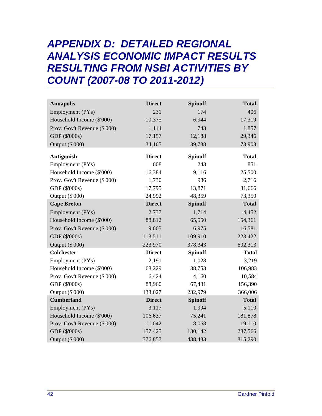## *APPENDIX D: DETAILED REGIONAL ANALYSIS ECONOMIC IMPACT RESULTS RESULTING FROM NSBI ACTIVITIES BY COUNT (2007-08 TO 2011-2012)*

| <b>Annapolis</b>             | <b>Direct</b> | <b>Spinoff</b> | <b>Total</b> |
|------------------------------|---------------|----------------|--------------|
| Employment (PYs)             | 231           | 174            | 406          |
| Household Income (\$'000)    | 10,375        | 6,944          | 17,319       |
| Prov. Gov't Revenue (\$'000) | 1,114         | 743            | 1,857        |
| GDP (\$'000s)                | 17,157        | 12,188         | 29,346       |
| Output (\$'000)              | 34,165        | 39,738         | 73,903       |
| Antigonish                   | <b>Direct</b> | <b>Spinoff</b> | <b>Total</b> |
| Employment (PYs)             | 608           | 243            | 851          |
| Household Income (\$'000)    | 16,384        | 9,116          | 25,500       |
| Prov. Gov't Revenue (\$'000) | 1,730         | 986            | 2,716        |
| GDP (\$'000s)                | 17,795        | 13,871         | 31,666       |
| Output (\$'000)              | 24,992        | 48,359         | 73,350       |
| <b>Cape Breton</b>           | <b>Direct</b> | <b>Spinoff</b> | <b>Total</b> |
| Employment (PYs)             | 2,737         | 1,714          | 4,452        |
| Household Income (\$'000)    | 88,812        | 65,550         | 154,361      |
| Prov. Gov't Revenue (\$'000) | 9,605         | 6,975          | 16,581       |
| GDP (\$'000s)                | 113,511       | 109,910        | 223,422      |
| Output (\$'000)              | 223,970       | 378,343        | 602,313      |
| <b>Colchester</b>            | <b>Direct</b> | <b>Spinoff</b> | <b>Total</b> |
| Employment (PYs)             | 2,191         | 1,028          | 3,219        |
| Household Income (\$'000)    | 68,229        | 38,753         | 106,983      |
| Prov. Gov't Revenue (\$'000) | 6,424         | 4,160          | 10,584       |
| GDP (\$'000s)                | 88,960        | 67,431         | 156,390      |
| Output (\$'000)              | 133,027       | 232,979        | 366,006      |
| <b>Cumberland</b>            | <b>Direct</b> | <b>Spinoff</b> | <b>Total</b> |
| Employment (PYs)             | 3,117         | 1,994          | 5,110        |
| Household Income (\$'000)    | 106,637       | 75,241         | 181,878      |
| Prov. Gov't Revenue (\$'000) | 11,042        | 8,068          | 19,110       |
| GDP (\$'000s)                | 157,425       | 130,142        | 287,566      |
| Output (\$'000)              | 376,857       | 438,433        | 815,290      |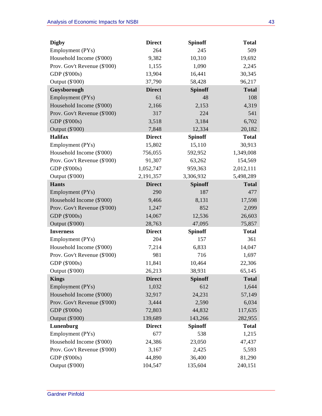| <b>Digby</b>                 | <b>Direct</b> | <b>Spinoff</b> | <b>Total</b> |
|------------------------------|---------------|----------------|--------------|
| Employment (PYs)             | 264           | 245            | 509          |
| Household Income (\$'000)    | 9,382         | 10,310         | 19,692       |
| Prov. Gov't Revenue (\$'000) | 1,155         | 1,090          | 2,245        |
| GDP (\$'000s)                | 13,904        | 16,441         | 30,345       |
| Output (\$'000)              | 37,790        | 58,428         | 96,217       |
| Guysborough                  | <b>Direct</b> | <b>Spinoff</b> | <b>Total</b> |
| Employment (PYs)             | 61            | 48             | 108          |
| Household Income (\$'000)    | 2,166         | 2,153          | 4,319        |
| Prov. Gov't Revenue (\$'000) | 317           | 224            | 541          |
| GDP (\$'000s)                | 3,518         | 3,184          | 6,702        |
| Output (\$'000)              | 7,848         | 12,334         | 20,182       |
| <b>Halifax</b>               | <b>Direct</b> | <b>Spinoff</b> | <b>Total</b> |
| Employment (PYs)             | 15,802        | 15,110         | 30,913       |
| Household Income (\$'000)    | 756,055       | 592,952        | 1,349,008    |
| Prov. Gov't Revenue (\$'000) | 91,307        | 63,262         | 154,569      |
| GDP (\$'000s)                | 1,052,747     | 959,363        | 2,012,111    |
| Output (\$'000)              | 2,191,357     | 3,306,932      | 5,498,289    |
| <b>Hants</b>                 | <b>Direct</b> | <b>Spinoff</b> | <b>Total</b> |
| Employment (PYs)             | 290           | 187            | 477          |
| Household Income (\$'000)    | 9,466         | 8,131          | 17,598       |
| Prov. Gov't Revenue (\$'000) | 1,247         | 852            | 2,099        |
| GDP (\$'000s)                | 14,067        | 12,536         | 26,603       |
| Output (\$'000)              | 28,763        | 47,095         | 75,857       |
| <b>Inverness</b>             | <b>Direct</b> | <b>Spinoff</b> | <b>Total</b> |
| Employment (PYs)             | 204           | 157            | 361          |
| Household Income (\$'000)    | 7,214         | 6,833          | 14,047       |
| Prov. Gov't Revenue (\$'000) | 981           | 716            | 1,697        |
| GDP (\$'000s)                | 11,841        | 10,464         | 22,306       |
| Output (\$'000)              | 26,213        | 38,931         | 65,145       |
| <b>Kings</b>                 | <b>Direct</b> | <b>Spinoff</b> | <b>Total</b> |
| Employment (PYs)             | 1,032         | 612            | 1,644        |
| Household Income (\$'000)    | 32,917        | 24,231         | 57,149       |
| Prov. Gov't Revenue (\$'000) | 3,444         | 2,590          | 6,034        |
| GDP (\$'000s)                | 72,803        | 44,832         | 117,635      |
| Output (\$'000)              | 139,689       | 143,266        | 282,955      |
| Lunenburg                    | <b>Direct</b> | <b>Spinoff</b> | <b>Total</b> |
| Employment (PYs)             | 677           | 538            | 1,215        |
| Household Income (\$'000)    | 24,386        | 23,050         | 47,437       |
| Prov. Gov't Revenue (\$'000) | 3,167         | 2,425          | 5,593        |
| GDP (\$'000s)                | 44,890        | 36,400         | 81,290       |
| Output (\$'000)              | 104,547       | 135,604        | 240,151      |